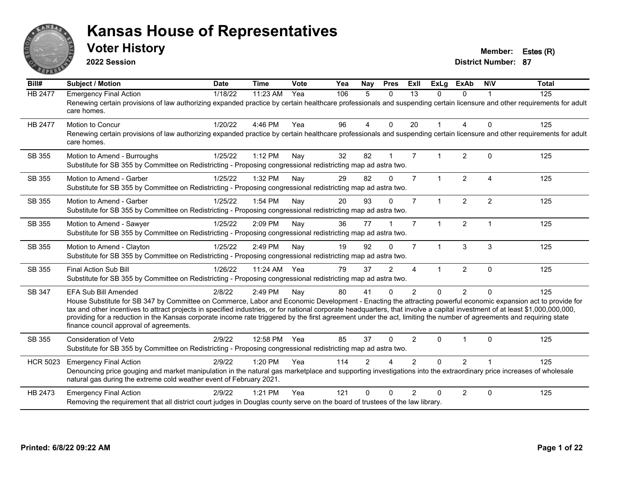

**2022 Session**

**Voter History Member: Estes (R)** 

| Bill#           | Subject / Motion                                                                                                                                                                                                                                                                                                                                                                                                                                                                                                                                                                                   | <b>Date</b> | <b>Time</b> | Vote | Yea | <b>Nay</b>     | <b>Pres</b>    | ExII                   | <b>ExLg</b>          | <b>ExAb</b>    | <b>NIV</b>     | <b>Total</b> |
|-----------------|----------------------------------------------------------------------------------------------------------------------------------------------------------------------------------------------------------------------------------------------------------------------------------------------------------------------------------------------------------------------------------------------------------------------------------------------------------------------------------------------------------------------------------------------------------------------------------------------------|-------------|-------------|------|-----|----------------|----------------|------------------------|----------------------|----------------|----------------|--------------|
| <b>HB 2477</b>  | <b>Emergency Final Action</b><br>Renewing certain provisions of law authorizing expanded practice by certain healthcare professionals and suspending certain licensure and other requirements for adult<br>care homes.                                                                                                                                                                                                                                                                                                                                                                             | 1/18/22     | 11:23 AM    | Yea  | 106 | 5              | $\Omega$       | 13                     | 0                    | 0              |                | 125          |
| <b>HB 2477</b>  | <b>Motion to Concur</b><br>Renewing certain provisions of law authorizing expanded practice by certain healthcare professionals and suspending certain licensure and other requirements for adult<br>care homes.                                                                                                                                                                                                                                                                                                                                                                                   | 1/20/22     | 4:46 PM     | Yea  | 96  | $\overline{4}$ | $\mathbf{0}$   | 20                     | $\mathbf{1}$         | 4              | $\Omega$       | 125          |
| SB 355          | Motion to Amend - Burroughs<br>Substitute for SB 355 by Committee on Redistricting - Proposing congressional redistricting map ad astra two.                                                                                                                                                                                                                                                                                                                                                                                                                                                       | 1/25/22     | 1:12 PM     | Nay  | 32  | 82             |                | $\overline{7}$         |                      | $\overline{2}$ | $\Omega$       | 125          |
| SB 355          | Motion to Amend - Garber<br>Substitute for SB 355 by Committee on Redistricting - Proposing congressional redistricting map ad astra two.                                                                                                                                                                                                                                                                                                                                                                                                                                                          | 1/25/22     | 1:32 PM     | Nay  | 29  | 82             | $\Omega$       | $\overline{7}$         | $\mathbf{1}$         | $\overline{2}$ | $\overline{a}$ | 125          |
| SB 355          | Motion to Amend - Garber<br>Substitute for SB 355 by Committee on Redistricting - Proposing congressional redistricting map ad astra two.                                                                                                                                                                                                                                                                                                                                                                                                                                                          | 1/25/22     | 1:54 PM     | Nay  | 20  | 93             | $\Omega$       | $\overline{7}$         | $\mathbf{1}$         | $\overline{2}$ | $\overline{2}$ | 125          |
| SB 355          | Motion to Amend - Sawyer<br>Substitute for SB 355 by Committee on Redistricting - Proposing congressional redistricting map ad astra two.                                                                                                                                                                                                                                                                                                                                                                                                                                                          | 1/25/22     | 2:09 PM     | Nay  | 36  | 77             |                | $\overline{7}$         | $\blacktriangleleft$ | $\overline{2}$ | $\overline{1}$ | 125          |
| SB 355          | Motion to Amend - Clayton<br>Substitute for SB 355 by Committee on Redistricting - Proposing congressional redistricting map ad astra two.                                                                                                                                                                                                                                                                                                                                                                                                                                                         | 1/25/22     | 2:49 PM     | Nay  | 19  | 92             | $\Omega$       | $\overline{7}$         | $\mathbf{1}$         | 3              | 3              | 125          |
| SB 355          | Final Action Sub Bill<br>Substitute for SB 355 by Committee on Redistricting - Proposing congressional redistricting map ad astra two.                                                                                                                                                                                                                                                                                                                                                                                                                                                             | 1/26/22     | 11:24 AM    | Yea  | 79  | 37             | $\overline{2}$ | $\boldsymbol{\Lambda}$ | 1                    | $\overline{2}$ | $\Omega$       | 125          |
| SB 347          | <b>EFA Sub Bill Amended</b><br>House Substitute for SB 347 by Committee on Commerce, Labor and Economic Development - Enacting the attracting powerful economic expansion act to provide for<br>tax and other incentives to attract projects in specified industries, or for national corporate headquarters, that involve a capital investment of at least \$1,000,000,000,000,<br>providing for a reduction in the Kansas corporate income rate triggered by the first agreement under the act, limiting the number of agreements and requiring state<br>finance council approval of agreements. | 2/8/22      | 2:49 PM     | Nay  | 80  | 41             | $\Omega$       | $\overline{2}$         | $\Omega$             | $\overline{2}$ | $\Omega$       | 125          |
| SB 355          | <b>Consideration of Veto</b><br>Substitute for SB 355 by Committee on Redistricting - Proposing congressional redistricting map ad astra two.                                                                                                                                                                                                                                                                                                                                                                                                                                                      | 2/9/22      | 12:58 PM    | Yea  | 85  | 37             | $\Omega$       | 2                      | $\Omega$             |                | $\Omega$       | 125          |
| <b>HCR 5023</b> | <b>Emergency Final Action</b><br>Denouncing price gouging and market manipulation in the natural gas marketplace and supporting investigations into the extraordinary price increases of wholesale<br>natural gas during the extreme cold weather event of February 2021.                                                                                                                                                                                                                                                                                                                          | 2/9/22      | 1:20 PM     | Yea  | 114 | $\mathfrak{p}$ |                | $\mathcal{P}$          | $\Omega$             | $\overline{2}$ |                | 125          |
| HB 2473         | <b>Emergency Final Action</b><br>Removing the requirement that all district court judges in Douglas county serve on the board of trustees of the law library.                                                                                                                                                                                                                                                                                                                                                                                                                                      | 2/9/22      | $1:21$ PM   | Yea  | 121 | $\Omega$       | $\Omega$       | $\mathcal{P}$          | $\Omega$             | $\overline{2}$ | $\mathbf 0$    | 125          |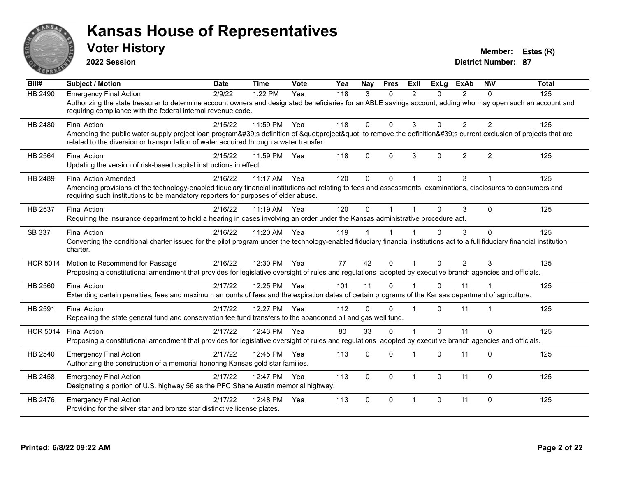

**2022 Session**

**Voter History Member: Estes (R)** 

| Bill#           | <b>Subject / Motion</b>                                                                                                                                                                                                                                                              | <b>Date</b> | <b>Time</b>  | Vote | Yea | Nay         | <b>Pres</b>  | ExII           | <b>ExLa</b> | <b>ExAb</b>    | <b>NIV</b>     | <b>Total</b> |
|-----------------|--------------------------------------------------------------------------------------------------------------------------------------------------------------------------------------------------------------------------------------------------------------------------------------|-------------|--------------|------|-----|-------------|--------------|----------------|-------------|----------------|----------------|--------------|
| HB 2490         | <b>Emergency Final Action</b><br>Authorizing the state treasurer to determine account owners and designated beneficiaries for an ABLE savings account, adding who may open such an account and<br>requiring compliance with the federal internal revenue code.                       | 2/9/22      | 1:22 PM      | Yea  | 118 | 3           | $\Omega$     | $\mathfrak{p}$ | $\Omega$    | $\mathcal{P}$  | $\Omega$       | 125          |
| HB 2480         | <b>Final Action</b><br>Amending the public water supply project loan program's definition of "project" to remove the definition's current exclusion of projects that are<br>related to the diversion or transportation of water acquired through a water transfer.                   | 2/15/22     | 11:59 PM     | Yea  | 118 | $\Omega$    | $\mathbf{0}$ | 3              | $\Omega$    | 2              | 2              | 125          |
| HB 2564         | <b>Final Action</b><br>Updating the version of risk-based capital instructions in effect.                                                                                                                                                                                            | 2/15/22     | 11:59 PM     | Yea  | 118 | $\Omega$    | $\Omega$     | 3              | $\Omega$    | $\overline{2}$ | $\overline{2}$ | 125          |
| HB 2489         | <b>Final Action Amended</b><br>Amending provisions of the technology-enabled fiduciary financial institutions act relating to fees and assessments, examinations, disclosures to consumers and<br>requiring such institutions to be mandatory reporters for purposes of elder abuse. | 2/16/22     | $11:17$ AM   | Yea  | 120 | $\Omega$    | $\Omega$     |                | $\Omega$    | 3              |                | 125          |
| HB 2537         | <b>Final Action</b><br>Requiring the insurance department to hold a hearing in cases involving an order under the Kansas administrative procedure act.                                                                                                                               | 2/16/22     | 11:19 AM     | Yea  | 120 | $\Omega$    |              |                | $\Omega$    | 3              | $\Omega$       | 125          |
| SB 337          | <b>Final Action</b><br>Converting the conditional charter issued for the pilot program under the technology-enabled fiduciary financial institutions act to a full fiduciary financial institution<br>charter.                                                                       | 2/16/22     | 11:20 AM     | Yea  | 119 |             |              |                | $\Omega$    | 3              | $\Omega$       | 125          |
| <b>HCR 5014</b> | Motion to Recommend for Passage<br>Proposing a constitutional amendment that provides for legislative oversight of rules and regulations adopted by executive branch agencies and officials.                                                                                         | 2/16/22     | 12:30 PM Yea |      | 77  | 42          | $\Omega$     |                | $\Omega$    | $\overline{2}$ | 3              | 125          |
| HB 2560         | <b>Final Action</b><br>Extending certain penalties, fees and maximum amounts of fees and the expiration dates of certain programs of the Kansas department of agriculture.                                                                                                           | 2/17/22     | 12:25 PM Yea |      | 101 | 11          | $\Omega$     |                | $\Omega$    | 11             |                | 125          |
| HB 2591         | <b>Final Action</b><br>Repealing the state general fund and conservation fee fund transfers to the abandoned oil and gas well fund.                                                                                                                                                  | 2/17/22     | 12:27 PM     | Yea  | 112 | 0           | $\Omega$     |                | 0           | 11             |                | 125          |
| <b>HCR 5014</b> | <b>Final Action</b><br>Proposing a constitutional amendment that provides for legislative oversight of rules and regulations adopted by executive branch agencies and officials.                                                                                                     | 2/17/22     | 12:43 PM     | Yea  | 80  | 33          | $\Omega$     |                | $\Omega$    | 11             | $\mathbf 0$    | 125          |
| HB 2540         | <b>Emergency Final Action</b><br>Authorizing the construction of a memorial honoring Kansas gold star families.                                                                                                                                                                      | 2/17/22     | 12:45 PM     | Yea  | 113 | 0           | $\Omega$     |                | 0           | 11             | $\Omega$       | 125          |
| HB 2458         | <b>Emergency Final Action</b><br>Designating a portion of U.S. highway 56 as the PFC Shane Austin memorial highway.                                                                                                                                                                  | 2/17/22     | 12:47 PM     | Yea  | 113 | $\mathbf 0$ | $\Omega$     | $\overline{1}$ | 0           | 11             | $\mathbf 0$    | 125          |
| HB 2476         | <b>Emergency Final Action</b><br>Providing for the silver star and bronze star distinctive license plates.                                                                                                                                                                           | 2/17/22     | 12:48 PM     | Yea  | 113 | $\Omega$    | $\Omega$     | $\overline{1}$ | 0           | 11             | $\Omega$       | 125          |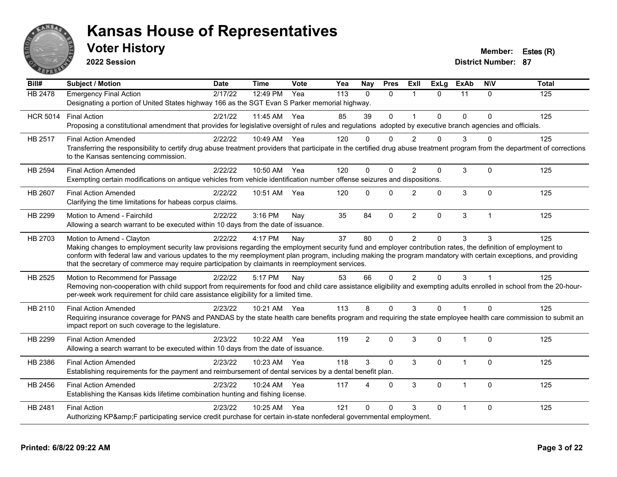

**2022 Session**

**Voter History Member: Estes (R)** 

| Bill#           | <b>Subject / Motion</b>                                                                                                                                                                                                                                                                                                                                                                                                                                         | <b>Date</b> | <b>Time</b> | Vote | Yea | Nay            | <b>Pres</b>  | ExIl           | <b>ExLg</b> | <b>ExAb</b> | <b>NIV</b>   | <b>Total</b> |
|-----------------|-----------------------------------------------------------------------------------------------------------------------------------------------------------------------------------------------------------------------------------------------------------------------------------------------------------------------------------------------------------------------------------------------------------------------------------------------------------------|-------------|-------------|------|-----|----------------|--------------|----------------|-------------|-------------|--------------|--------------|
| <b>HB 2478</b>  | <b>Emergency Final Action</b><br>Designating a portion of United States highway 166 as the SGT Evan S Parker memorial highway.                                                                                                                                                                                                                                                                                                                                  | 2/17/22     | 12:49 PM    | Yea  | 113 | $\Omega$       | $\mathbf{0}$ | $\mathbf 1$    | $\Omega$    | 11          | $\mathbf{0}$ | 125          |
| <b>HCR 5014</b> | <b>Final Action</b><br>Proposing a constitutional amendment that provides for legislative oversight of rules and regulations adopted by executive branch agencies and officials.                                                                                                                                                                                                                                                                                | 2/21/22     | 11:45 AM    | Yea  | 85  | 39             | $\Omega$     |                | $\Omega$    | $\Omega$    | $\Omega$     | 125          |
| HB 2517         | <b>Final Action Amended</b><br>Transferring the responsibility to certify drug abuse treatment providers that participate in the certified drug abuse treatment program from the department of corrections<br>to the Kansas sentencing commission.                                                                                                                                                                                                              | 2/22/22     | 10:49 AM    | Yea  | 120 | $\Omega$       | O            | $\mathcal{P}$  | 0           | 3           | $\Omega$     | 125          |
| <b>HB 2594</b>  | <b>Final Action Amended</b><br>Exempting certain modifications on antique vehicles from vehicle identification number offense seizures and dispositions.                                                                                                                                                                                                                                                                                                        | 2/22/22     | 10:50 AM    | Yea  | 120 | 0              | $\Omega$     | 2              | $\Omega$    | 3           | $\Omega$     | 125          |
| HB 2607         | <b>Final Action Amended</b><br>Clarifying the time limitations for habeas corpus claims.                                                                                                                                                                                                                                                                                                                                                                        | 2/22/22     | 10:51 AM    | Yea  | 120 | 0              | $\mathbf{0}$ | $\overline{2}$ | $\Omega$    | 3           | $\mathbf 0$  | 125          |
| HB 2299         | Motion to Amend - Fairchild<br>Allowing a search warrant to be executed within 10 days from the date of issuance.                                                                                                                                                                                                                                                                                                                                               | 2/22/22     | 3:16 PM     | Nay  | 35  | 84             | $\Omega$     | $\overline{2}$ | $\Omega$    | 3           | $\mathbf{1}$ | 125          |
| HB 2703         | Motion to Amend - Clayton<br>Making changes to employment security law provisions regarding the employment security fund and employer contribution rates, the definition of employment to<br>conform with federal law and various updates to the my reemployment plan program, including making the program mandatory with certain exceptions, and providing<br>that the secretary of commerce may require participation by claimants in reemployment services. | 2/22/22     | 4:17 PM     | Nay  | 37  | 80             | $\mathbf{0}$ | $\overline{2}$ | $\Omega$    | 3           | 3            | 125          |
| HB 2525         | Motion to Recommend for Passage<br>Removing non-cooperation with child support from requirements for food and child care assistance eligibility and exempting adults enrolled in school from the 20-hour-<br>per-week work requirement for child care assistance eligibility for a limited time.                                                                                                                                                                | 2/22/22     | 5:17 PM     | Nay  | 53  | 66             | $\mathbf{0}$ | $\overline{2}$ | $\Omega$    | 3           | $\mathbf{1}$ | 125          |
| HB 2110         | <b>Final Action Amended</b><br>Requiring insurance coverage for PANS and PANDAS by the state health care benefits program and requiring the state employee health care commission to submit an<br>impact report on such coverage to the legislature.                                                                                                                                                                                                            | 2/23/22     | 10:21 AM    | Yea  | 113 | 8              | $\Omega$     | 3              | $\Omega$    | 1           | $\Omega$     | 125          |
| HB 2299         | <b>Final Action Amended</b><br>Allowing a search warrant to be executed within 10 days from the date of issuance.                                                                                                                                                                                                                                                                                                                                               | 2/23/22     | 10:22 AM    | Yea  | 119 | $\overline{2}$ | $\Omega$     | 3              | $\Omega$    | 1           | $\Omega$     | 125          |
| HB 2386         | <b>Final Action Amended</b><br>Establishing requirements for the payment and reimbursement of dental services by a dental benefit plan.                                                                                                                                                                                                                                                                                                                         | 2/23/22     | $10:23$ AM  | Yea  | 118 | 3              | $\Omega$     | 3              | $\Omega$    | 1           | $\Omega$     | 125          |
| HB 2456         | <b>Final Action Amended</b><br>Establishing the Kansas kids lifetime combination hunting and fishing license.                                                                                                                                                                                                                                                                                                                                                   | 2/23/22     | 10:24 AM    | Yea  | 117 | 4              | $\Omega$     | 3              | $\Omega$    | 1           | $\Omega$     | 125          |
| HB 2481         | <b>Final Action</b><br>Authorizing KP&F participating service credit purchase for certain in-state nonfederal governmental employment.                                                                                                                                                                                                                                                                                                                          | 2/23/22     | 10:25 AM    | Yea  | 121 | 0              | $\Omega$     | 3              | $\Omega$    | 1           | $\Omega$     | 125          |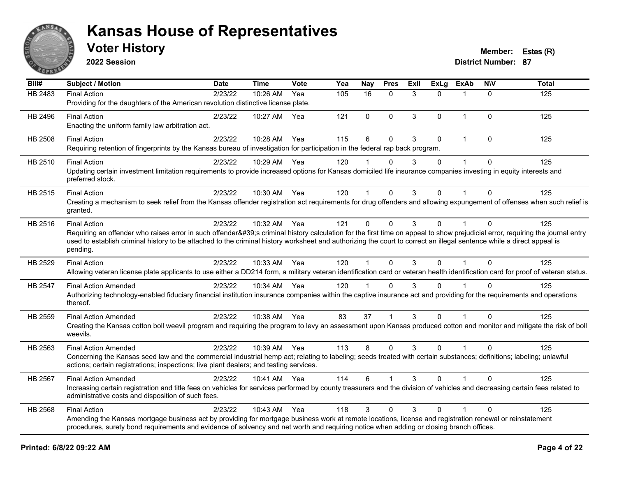

**2022 Session**

**Voter History Member: Estes (R)** 

| Bill#          | <b>Subject / Motion</b>                                                                                                                                                                                                          | <b>Date</b> | <b>Time</b>  | <b>Vote</b> | Yea | <b>Nay</b>   | <b>Pres</b>  | ExII | <b>ExLg</b> | <b>ExAb</b>          | <b>NIV</b>   | <b>Total</b> |
|----------------|----------------------------------------------------------------------------------------------------------------------------------------------------------------------------------------------------------------------------------|-------------|--------------|-------------|-----|--------------|--------------|------|-------------|----------------------|--------------|--------------|
| HB 2483        | <b>Final Action</b>                                                                                                                                                                                                              | 2/23/22     | 10:26 AM     | Yea         | 105 | 16           | $\mathbf{0}$ | 3    | $\Omega$    |                      | $\Omega$     | 125          |
|                | Providing for the daughters of the American revolution distinctive license plate.                                                                                                                                                |             |              |             |     |              |              |      |             |                      |              |              |
| HB 2496        | <b>Final Action</b>                                                                                                                                                                                                              | 2/23/22     | 10:27 AM Yea |             | 121 | $\Omega$     | $\mathbf 0$  | 3    | $\Omega$    | $\mathbf 1$          | $\Omega$     | 125          |
|                | Enacting the uniform family law arbitration act.                                                                                                                                                                                 |             |              |             |     |              |              |      |             |                      |              |              |
| HB 2508        | <b>Final Action</b>                                                                                                                                                                                                              | 2/23/22     | 10:28 AM     | Yea         | 115 | 6            | $\mathbf 0$  | 3    | 0           | $\mathbf{1}$         | $\mathbf 0$  | 125          |
|                | Requiring retention of fingerprints by the Kansas bureau of investigation for participation in the federal rap back program.                                                                                                     |             |              |             |     |              |              |      |             |                      |              |              |
| HB 2510        | <b>Final Action</b>                                                                                                                                                                                                              | 2/23/22     | 10:29 AM Yea |             | 120 |              | $\Omega$     | 3    | $\Omega$    |                      | $\Omega$     | 125          |
|                | Updating certain investment limitation requirements to provide increased options for Kansas domiciled life insurance companies investing in equity interests and<br>preferred stock.                                             |             |              |             |     |              |              |      |             |                      |              |              |
| HB 2515        | <b>Final Action</b>                                                                                                                                                                                                              | 2/23/22     | 10:30 AM Yea |             | 120 |              | $\mathbf 0$  | 3    | 0           |                      | $\Omega$     | 125          |
|                | Creating a mechanism to seek relief from the Kansas offender registration act requirements for drug offenders and allowing expungement of offenses when such relief is                                                           |             |              |             |     |              |              |      |             |                      |              |              |
|                | granted.                                                                                                                                                                                                                         |             |              |             |     |              |              |      |             |                      |              |              |
| HB 2516        | <b>Final Action</b>                                                                                                                                                                                                              | 2/23/22     | 10:32 AM     | Yea         | 121 | $\mathbf 0$  | $\mathbf 0$  | 3    | $\Omega$    | 1                    | $\mathbf{0}$ | 125          |
|                | Requiring an offender who raises error in such offender's criminal history calculation for the first time on appeal to show prejudicial error, requiring the journal entry                                                       |             |              |             |     |              |              |      |             |                      |              |              |
|                | used to establish criminal history to be attached to the criminal history worksheet and authorizing the court to correct an illegal sentence while a direct appeal is<br>pending.                                                |             |              |             |     |              |              |      |             |                      |              |              |
|                |                                                                                                                                                                                                                                  |             |              |             |     |              |              |      |             |                      |              |              |
| HB 2529        | <b>Final Action</b><br>Allowing veteran license plate applicants to use either a DD214 form, a military veteran identification card or veteran health identification card for proof of veteran status.                           | 2/23/22     | 10:33 AM Yea |             | 120 | $\mathbf{1}$ | $\Omega$     | 3    | $\Omega$    | $\mathbf{1}$         | $\Omega$     | 125          |
|                |                                                                                                                                                                                                                                  |             |              |             |     |              |              |      |             |                      |              |              |
| <b>HB 2547</b> | <b>Final Action Amended</b>                                                                                                                                                                                                      | 2/23/22     | 10:34 AM Yea |             | 120 |              | $\Omega$     | 3    | $\Omega$    |                      | $\Omega$     | 125          |
|                | Authorizing technology-enabled fiduciary financial institution insurance companies within the captive insurance act and providing for the requirements and operations<br>thereof.                                                |             |              |             |     |              |              |      |             |                      |              |              |
| HB 2559        | <b>Final Action Amended</b>                                                                                                                                                                                                      | 2/23/22     | 10:38 AM Yea |             | 83  | 37           |              | 3    | $\Omega$    |                      | $\Omega$     | 125          |
|                | Creating the Kansas cotton boll weevil program and requiring the program to levy an assessment upon Kansas produced cotton and monitor and mitigate the risk of boll<br>weevils.                                                 |             |              |             |     |              |              |      |             |                      |              |              |
| HB 2563        | <b>Final Action Amended</b>                                                                                                                                                                                                      | 2/23/22     | 10:39 AM Yea |             | 113 | 8            | $\Omega$     | 3    | $\Omega$    | $\blacktriangleleft$ | $\Omega$     | 125          |
|                | Concerning the Kansas seed law and the commercial industrial hemp act; relating to labeling; seeds treated with certain substances; definitions; labeling; unlawful                                                              |             |              |             |     |              |              |      |             |                      |              |              |
|                | actions; certain registrations; inspections; live plant dealers; and testing services.                                                                                                                                           |             |              |             |     |              |              |      |             |                      |              |              |
| HB 2567        | <b>Final Action Amended</b>                                                                                                                                                                                                      | 2/23/22     | 10:41 AM Yea |             | 114 | 6            |              | 3    | $\Omega$    |                      | $\mathbf{0}$ | 125          |
|                | Increasing certain registration and title fees on vehicles for services performed by county treasurers and the division of vehicles and decreasing certain fees related to<br>administrative costs and disposition of such fees. |             |              |             |     |              |              |      |             |                      |              |              |
| HB 2568        | <b>Final Action</b>                                                                                                                                                                                                              | 2/23/22     | 10:43 AM     | Yea         | 118 | 3            | $\mathbf{0}$ | 3    | $\Omega$    | $\mathbf 1$          | $\Omega$     | 125          |
|                | Amending the Kansas mortgage business act by providing for mortgage business work at remote locations, license and registration renewal or reinstatement                                                                         |             |              |             |     |              |              |      |             |                      |              |              |
|                | procedures, surety bond requirements and evidence of solvency and net worth and requiring notice when adding or closing branch offices.                                                                                          |             |              |             |     |              |              |      |             |                      |              |              |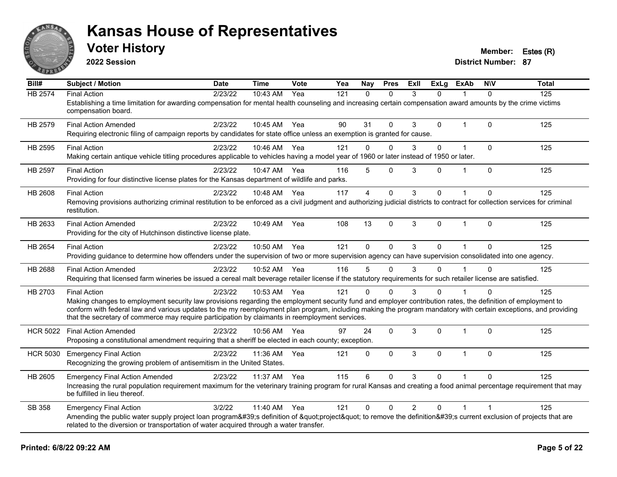

**2022 Session**

**Voter History Member: Estes (R)** 

| Bill#           | Subject / Motion                                                                                                                                                                                                                                                                                                                                                                                                                                          | <b>Date</b> | <b>Time</b> | <b>Vote</b> | Yea | Nay            | <b>Pres</b>  | ExII           | <b>ExLg</b>  | <b>ExAb</b>    | <b>NIV</b>     | <b>Total</b> |
|-----------------|-----------------------------------------------------------------------------------------------------------------------------------------------------------------------------------------------------------------------------------------------------------------------------------------------------------------------------------------------------------------------------------------------------------------------------------------------------------|-------------|-------------|-------------|-----|----------------|--------------|----------------|--------------|----------------|----------------|--------------|
| <b>HB 2574</b>  | <b>Final Action</b><br>Establishing a time limitation for awarding compensation for mental health counseling and increasing certain compensation award amounts by the crime victims<br>compensation board.                                                                                                                                                                                                                                                | 2/23/22     | 10:43 AM    | Yea         | 121 | $\Omega$       | $\Omega$     | 3              | 0            |                | $\Omega$       | 125          |
| HB 2579         | <b>Final Action Amended</b><br>Requiring electronic filing of campaign reports by candidates for state office unless an exemption is granted for cause.                                                                                                                                                                                                                                                                                                   | 2/23/22     | 10:45 AM    | Yea         | 90  | 31             | $\mathbf{0}$ | 3              | 0            | $\mathbf 1$    | $\Omega$       | 125          |
| HB 2595         | <b>Final Action</b><br>Making certain antique vehicle titling procedures applicable to vehicles having a model year of 1960 or later instead of 1950 or later.                                                                                                                                                                                                                                                                                            | 2/23/22     | 10:46 AM    | Yea         | 121 | 0              | $\mathbf 0$  | 3              | 0            | $\mathbf{1}$   | $\mathbf 0$    | 125          |
| <b>HB 2597</b>  | <b>Final Action</b><br>Providing for four distinctive license plates for the Kansas department of wildlife and parks.                                                                                                                                                                                                                                                                                                                                     | 2/23/22     | 10:47 AM    | Yea         | 116 | 5              | $\mathbf 0$  | 3              | 0            | 1              | $\mathbf 0$    | 125          |
| HB 2608         | <b>Final Action</b><br>Removing provisions authorizing criminal restitution to be enforced as a civil judgment and authorizing judicial districts to contract for collection services for criminal<br>restitution.                                                                                                                                                                                                                                        | 2/23/22     | 10:48 AM    | Yea         | 117 | $\overline{4}$ | $\mathbf{0}$ | 3              | $\Omega$     | 1              | $\Omega$       | 125          |
| HB 2633         | <b>Final Action Amended</b><br>Providing for the city of Hutchinson distinctive license plate.                                                                                                                                                                                                                                                                                                                                                            | 2/23/22     | 10:49 AM    | Yea         | 108 | 13             | $\Omega$     | 3              | $\mathbf{0}$ | $\mathbf 1$    | $\Omega$       | 125          |
| <b>HB 2654</b>  | <b>Final Action</b><br>Providing guidance to determine how offenders under the supervision of two or more supervision agency can have supervision consolidated into one agency.                                                                                                                                                                                                                                                                           | 2/23/22     | 10:50 AM    | Yea         | 121 | $\mathbf 0$    | $\Omega$     | 3              | $\Omega$     |                | $\mathbf{0}$   | 125          |
| HB 2688         | <b>Final Action Amended</b><br>Requiring that licensed farm wineries be issued a cereal malt beverage retailer license if the statutory requirements for such retailer license are satisfied.                                                                                                                                                                                                                                                             | 2/23/22     | 10:52 AM    | Yea         | 116 | 5              | $\mathbf{0}$ | 3              | $\Omega$     |                | $\Omega$       | 125          |
| HB 2703         | <b>Final Action</b><br>Making changes to employment security law provisions regarding the employment security fund and employer contribution rates, the definition of employment to<br>conform with federal law and various updates to the my reemployment plan program, including making the program mandatory with certain exceptions, and providing<br>that the secretary of commerce may require participation by claimants in reemployment services. | 2/23/22     | 10:53 AM    | Yea         | 121 | 0              | $\Omega$     | 3              | 0            |                | $\Omega$       | 125          |
| <b>HCR 5022</b> | <b>Final Action Amended</b><br>Proposing a constitutional amendment requiring that a sheriff be elected in each county; exception.                                                                                                                                                                                                                                                                                                                        | 2/23/22     | 10:56 AM    | Yea         | 97  | 24             | $\Omega$     | 3              | $\Omega$     | $\overline{1}$ | $\Omega$       | 125          |
| <b>HCR 5030</b> | <b>Emergency Final Action</b><br>Recognizing the growing problem of antisemitism in the United States.                                                                                                                                                                                                                                                                                                                                                    | 2/23/22     | 11:36 AM    | Yea         | 121 | $\mathbf{0}$   | $\Omega$     | 3              | $\Omega$     | 1              | $\Omega$       | 125          |
| HB 2605         | <b>Emergency Final Action Amended</b><br>Increasing the rural population requirement maximum for the veterinary training program for rural Kansas and creating a food animal percentage requirement that may<br>be fulfilled in lieu thereof.                                                                                                                                                                                                             | 2/23/22     | 11:37 AM    | Yea         | 115 | 6              | $\Omega$     | 3              | $\Omega$     |                | $\Omega$       | 125          |
| SB 358          | <b>Emergency Final Action</b><br>Amending the public water supply project loan program's definition of "project" to remove the definition's current exclusion of projects that are<br>related to the diversion or transportation of water acquired through a water transfer.                                                                                                                                                                              | 3/2/22      | 11:40 AM    | Yea         | 121 | $\mathbf 0$    | $\mathbf 0$  | $\overline{2}$ | 0            | 1              | $\overline{1}$ | 125          |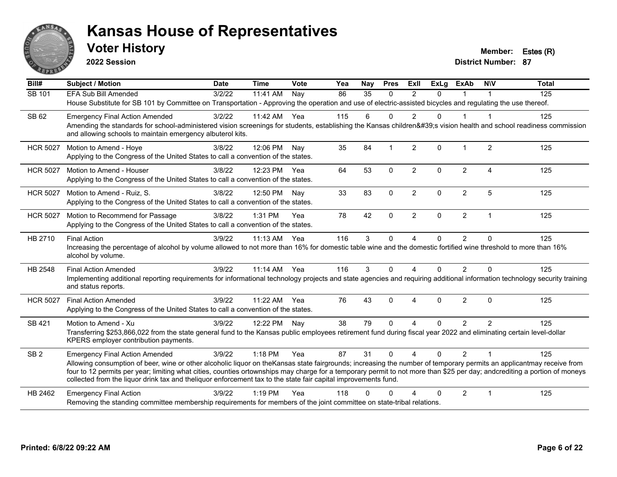

**2022 Session**

**Voter History Member: Estes (R)** 

| $\overline{Bill#}$ | <b>Subject / Motion</b>                                                                                                                                                                                                                                                                     | <b>Date</b>     | <b>Time</b>  | Vote | Yea | Nay      | <b>Pres</b>  | ExII              | $\overline{Ex}$ Lg | <b>ExAb</b>    | <b>NIV</b>              | <b>Total</b> |
|--------------------|---------------------------------------------------------------------------------------------------------------------------------------------------------------------------------------------------------------------------------------------------------------------------------------------|-----------------|--------------|------|-----|----------|--------------|-------------------|--------------------|----------------|-------------------------|--------------|
| SB 101             | <b>EFA Sub Bill Amended</b>                                                                                                                                                                                                                                                                 | $\sqrt{3}/2/22$ | 11:41 AM     | Nav  | 86  | 35       | $\mathbf{0}$ | 2                 | $\Omega$           |                |                         | 125          |
|                    | House Substitute for SB 101 by Committee on Transportation - Approving the operation and use of electric-assisted bicycles and regulating the use thereof.                                                                                                                                  |                 |              |      |     |          |              |                   |                    |                |                         |              |
| SB 62              | <b>Emergency Final Action Amended</b>                                                                                                                                                                                                                                                       | 3/2/22          | 11:42 AM Yea |      | 115 | 6        | $\Omega$     | $\mathcal{P}$     | 0                  |                |                         | 125          |
|                    | Amending the standards for school-administered vision screenings for students, establishing the Kansas children's vision health and school readiness commission<br>and allowing schools to maintain emergency albuterol kits.                                                               |                 |              |      |     |          |              |                   |                    |                |                         |              |
| <b>HCR 5027</b>    | Motion to Amend - Hoye                                                                                                                                                                                                                                                                      | 3/8/22          | 12:06 PM     | Nay  | 35  | 84       |              | 2                 | $\Omega$           | 1              | 2                       | 125          |
|                    | Applying to the Congress of the United States to call a convention of the states.                                                                                                                                                                                                           |                 |              |      |     |          |              |                   |                    |                |                         |              |
| <b>HCR 5027</b>    | Motion to Amend - Houser                                                                                                                                                                                                                                                                    | 3/8/22          | 12:23 PM Yea |      | 64  | 53       | $\Omega$     | $\overline{2}$    | $\Omega$           | $\overline{2}$ | Δ                       | 125          |
|                    | Applying to the Congress of the United States to call a convention of the states.                                                                                                                                                                                                           |                 |              |      |     |          |              |                   |                    |                |                         |              |
| <b>HCR 5027</b>    | Motion to Amend - Ruiz, S.                                                                                                                                                                                                                                                                  | 3/8/22          | 12:50 PM     | Nay  | 33  | 83       | $\Omega$     | 2                 | $\Omega$           | $\overline{2}$ | 5                       | 125          |
|                    | Applying to the Congress of the United States to call a convention of the states.                                                                                                                                                                                                           |                 |              |      |     |          |              |                   |                    |                |                         |              |
| <b>HCR 5027</b>    | Motion to Recommend for Passage                                                                                                                                                                                                                                                             | 3/8/22          | 1:31 PM      | Yea  | 78  | 42       | $\mathbf 0$  | $\overline{2}$    | 0                  | $\overline{2}$ | $\overline{1}$          | 125          |
|                    | Applying to the Congress of the United States to call a convention of the states.                                                                                                                                                                                                           |                 |              |      |     |          |              |                   |                    |                |                         |              |
| HB 2710            | <b>Final Action</b>                                                                                                                                                                                                                                                                         | 3/9/22          | 11:13 AM     | Yea  | 116 | 3        | $\mathbf 0$  | 4                 | $\Omega$           | $\overline{2}$ | $\Omega$                | 125          |
|                    | Increasing the percentage of alcohol by volume allowed to not more than 16% for domestic table wine and the domestic fortified wine threshold to more than 16%<br>alcohol by volume.                                                                                                        |                 |              |      |     |          |              |                   |                    |                |                         |              |
| HB 2548            | <b>Final Action Amended</b>                                                                                                                                                                                                                                                                 | 3/9/22          | 11:14 AM     | Yea  | 116 | 3        | $\Omega$     | 4                 | $\Omega$           | $\overline{2}$ | $\Omega$                | 125          |
|                    | Implementing additional reporting requirements for informational technology projects and state agencies and requiring additional information technology security training<br>and status reports.                                                                                            |                 |              |      |     |          |              |                   |                    |                |                         |              |
| <b>HCR 5027</b>    | <b>Final Action Amended</b>                                                                                                                                                                                                                                                                 | 3/9/22          | 11:22 AM     | Yea  | 76  | 43       | $\mathbf{0}$ | 4                 | $\Omega$           | $\overline{2}$ | $\mathbf{0}$            | 125          |
|                    | Applying to the Congress of the United States to call a convention of the states.                                                                                                                                                                                                           |                 |              |      |     |          |              |                   |                    |                |                         |              |
| SB 421             | Motion to Amend - Xu                                                                                                                                                                                                                                                                        | 3/9/22          | 12:22 PM     | Nay  | 38  | 79       | $\Omega$     | 4                 | $\Omega$           | $\overline{2}$ | 2                       | 125          |
|                    | Transferring \$253,866,022 from the state general fund to the Kansas public employees retirement fund during fiscal year 2022 and eliminating certain level-dollar<br>KPERS employer contribution payments.                                                                                 |                 |              |      |     |          |              |                   |                    |                |                         |              |
| SB <sub>2</sub>    | <b>Emergency Final Action Amended</b>                                                                                                                                                                                                                                                       | 3/9/22          | 1:18 PM      | Yea  | 87  | 31       | $\Omega$     | $\mathbf{\Delta}$ | $\Omega$           | $\overline{2}$ | $\overline{1}$          | 125          |
|                    | Allowing consumption of beer, wine or other alcoholic liquor on the Kansas state fairgrounds; increasing the number of temporary permits an applicantmay receive from                                                                                                                       |                 |              |      |     |          |              |                   |                    |                |                         |              |
|                    | four to 12 permits per year; limiting what cities, counties ortownships may charge for a temporary permit to not more than \$25 per day; andcrediting a portion of moneys<br>collected from the liquor drink tax and theliquor enforcement tax to the state fair capital improvements fund. |                 |              |      |     |          |              |                   |                    |                |                         |              |
| HB 2462            | <b>Emergency Final Action</b>                                                                                                                                                                                                                                                               | 3/9/22          | $1:19$ PM    | Yea  | 118 | $\Omega$ |              |                   | 0                  | $\overline{2}$ | $\overline{\mathbf{1}}$ | 125          |
|                    | Removing the standing committee membership requirements for members of the joint committee on state-tribal relations.                                                                                                                                                                       |                 |              |      |     |          |              |                   |                    |                |                         |              |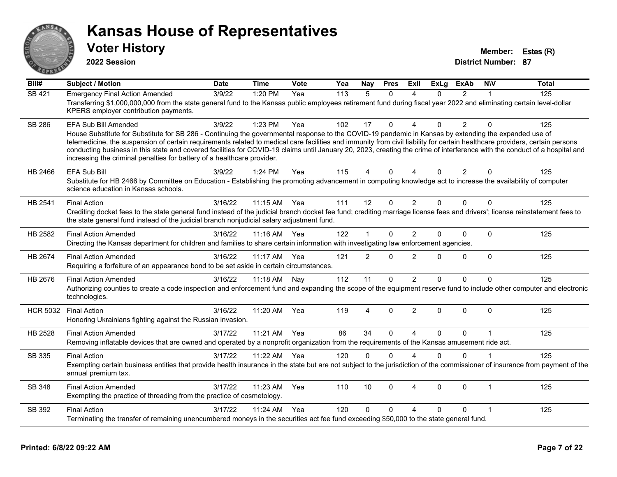

**2022 Session**

**Voter History Member: Estes (R)** 

| Bill#           | <b>Subject / Motion</b>                                                                                                                                                                                                                                                                                                                                                                                                                                                                                                                                                                                               | <b>Date</b> | <b>Time</b>  | Vote | Yea | Nay            | <b>Pres</b>  | ExII           | <b>ExLg</b>  | <b>ExAb</b>    | <b>NIV</b>   | <b>Total</b> |
|-----------------|-----------------------------------------------------------------------------------------------------------------------------------------------------------------------------------------------------------------------------------------------------------------------------------------------------------------------------------------------------------------------------------------------------------------------------------------------------------------------------------------------------------------------------------------------------------------------------------------------------------------------|-------------|--------------|------|-----|----------------|--------------|----------------|--------------|----------------|--------------|--------------|
| <b>SB 421</b>   | <b>Emergency Final Action Amended</b><br>Transferring \$1,000,000,000 from the state general fund to the Kansas public employees retirement fund during fiscal year 2022 and eliminating certain level-dollar<br>KPERS employer contribution payments.                                                                                                                                                                                                                                                                                                                                                                | 3/9/22      | 1:20 PM      | Yea  | 113 | $\overline{5}$ | $\Omega$     | Δ              | $\Omega$     | $\overline{2}$ | 1            | 125          |
| <b>SB 286</b>   | EFA Sub Bill Amended<br>House Substitute for Substitute for SB 286 - Continuing the governmental response to the COVID-19 pandemic in Kansas by extending the expanded use of<br>telemedicine, the suspension of certain requirements related to medical care facilities and immunity from civil liability for certain healthcare providers, certain persons<br>conducting business in this state and covered facilities for COVID-19 claims until January 20, 2023, creating the crime of interference with the conduct of a hospital and<br>increasing the criminal penalties for battery of a healthcare provider. | 3/9/22      | 1:23 PM      | Yea  | 102 | 17             | $\Omega$     | $\Delta$       | 0            | $\overline{2}$ | $\Omega$     | 125          |
| HB 2466         | <b>EFA Sub Bill</b><br>Substitute for HB 2466 by Committee on Education - Establishing the promoting advancement in computing knowledge act to increase the availability of computer<br>science education in Kansas schools.                                                                                                                                                                                                                                                                                                                                                                                          | 3/9/22      | 1:24 PM      | Yea  | 115 | 4              | $\Omega$     | Δ              | $\Omega$     | $\overline{2}$ | $\Omega$     | 125          |
| HB 2541         | <b>Final Action</b><br>Crediting docket fees to the state general fund instead of the judicial branch docket fee fund; crediting marriage license fees and drivers'; license reinstatement fees to<br>the state general fund instead of the judicial branch nonjudicial salary adjustment fund.                                                                                                                                                                                                                                                                                                                       | 3/16/22     | 11:15 AM Yea |      | 111 | 12             | $\mathbf 0$  | $\overline{2}$ | $\Omega$     | $\mathbf 0$    | $\Omega$     | 125          |
| HB 2582         | <b>Final Action Amended</b><br>Directing the Kansas department for children and families to share certain information with investigating law enforcement agencies.                                                                                                                                                                                                                                                                                                                                                                                                                                                    | 3/16/22     | 11:16 AM Yea |      | 122 |                | $\mathbf{0}$ | $\overline{2}$ | $\Omega$     | $\Omega$       | $\mathbf{0}$ | 125          |
| HB 2674         | <b>Final Action Amended</b><br>Requiring a forfeiture of an appearance bond to be set aside in certain circumstances.                                                                                                                                                                                                                                                                                                                                                                                                                                                                                                 | 3/16/22     | 11:17 AM     | Yea  | 121 | $\overline{2}$ | $\mathbf{0}$ | $\overline{2}$ | $\Omega$     | 0              | $\mathbf{0}$ | 125          |
| HB 2676         | <b>Final Action Amended</b><br>Authorizing counties to create a code inspection and enforcement fund and expanding the scope of the equipment reserve fund to include other computer and electronic<br>technologies.                                                                                                                                                                                                                                                                                                                                                                                                  | 3/16/22     | 11:18 AM     | Nav  | 112 | 11             | 0            | 2              | $\Omega$     | 0              | $\Omega$     | 125          |
| <b>HCR 5032</b> | <b>Final Action</b><br>Honoring Ukrainians fighting against the Russian invasion.                                                                                                                                                                                                                                                                                                                                                                                                                                                                                                                                     | 3/16/22     | 11:20 AM     | Yea  | 119 | 4              | 0            | $\overline{2}$ | $\Omega$     | 0              | $\Omega$     | 125          |
| HB 2528         | <b>Final Action Amended</b><br>Removing inflatable devices that are owned and operated by a nonprofit organization from the requirements of the Kansas amusement ride act.                                                                                                                                                                                                                                                                                                                                                                                                                                            | 3/17/22     | 11:21 AM Yea |      | 86  | 34             | $\Omega$     | $\overline{A}$ | $\Omega$     | $\Omega$       | $\mathbf 1$  | 125          |
| SB 335          | <b>Final Action</b><br>Exempting certain business entities that provide health insurance in the state but are not subject to the jurisdiction of the commissioner of insurance from payment of the<br>annual premium tax.                                                                                                                                                                                                                                                                                                                                                                                             | 3/17/22     | 11:22 AM     | Yea  | 120 | $\Omega$       | $\Omega$     | $\Lambda$      | $\Omega$     | $\Omega$       | 1            | 125          |
| SB 348          | <b>Final Action Amended</b><br>Exempting the practice of threading from the practice of cosmetology.                                                                                                                                                                                                                                                                                                                                                                                                                                                                                                                  | 3/17/22     | 11:23 AM     | Yea  | 110 | 10             | $\mathbf{0}$ | $\overline{4}$ | $\mathbf{0}$ | $\Omega$       | $\mathbf{1}$ | 125          |
| SB 392          | <b>Final Action</b><br>Terminating the transfer of remaining unencumbered moneys in the securities act fee fund exceeding \$50,000 to the state general fund.                                                                                                                                                                                                                                                                                                                                                                                                                                                         | 3/17/22     | 11:24 AM     | Yea  | 120 | $\Omega$       | $\Omega$     | Δ              | $\Omega$     | 0              | 1            | 125          |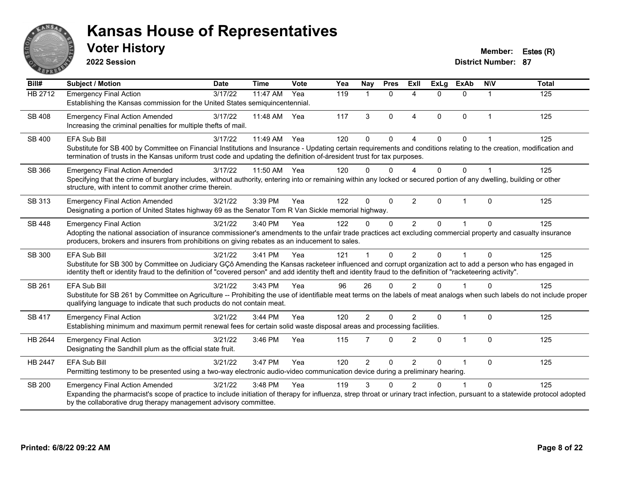

**2022 Session**

**Voter History Member: Estes (R)** 

| Bill#          | <b>Subject / Motion</b>                                                                                                                                                                                                                                                                                                                               | <b>Date</b> | <b>Time</b> | Vote | Yea | Nay            | <b>Pres</b>  | ExII                     | <b>ExLg</b> | <b>ExAb</b>  | <b>NIV</b>   | <b>Total</b> |
|----------------|-------------------------------------------------------------------------------------------------------------------------------------------------------------------------------------------------------------------------------------------------------------------------------------------------------------------------------------------------------|-------------|-------------|------|-----|----------------|--------------|--------------------------|-------------|--------------|--------------|--------------|
| <b>HB 2712</b> | <b>Emergency Final Action</b><br>Establishing the Kansas commission for the United States semiquincentennial.                                                                                                                                                                                                                                         | 3/17/22     | 11:47 AM    | Yea  | 119 | 1              | $\Omega$     | Δ                        | 0           | $\Omega$     |              | 125          |
| SB 408         | <b>Emergency Final Action Amended</b><br>Increasing the criminal penalties for multiple thefts of mail.                                                                                                                                                                                                                                               | 3/17/22     | 11:48 AM    | Yea  | 117 | 3              | $\Omega$     | $\overline{4}$           | $\Omega$    | $\Omega$     | 1            | 125          |
| SB 400         | <b>EFA Sub Bill</b><br>Substitute for SB 400 by Committee on Financial Institutions and Insurance - Updating certain requirements and conditions relating to the creation, modification and<br>termination of trusts in the Kansas uniform trust code and updating the definition of-áresident trust for tax purposes.                                | 3/17/22     | 11:49 AM    | Yea  | 120 | $\Omega$       | $\Omega$     | $\boldsymbol{\Lambda}$   | $\Omega$    | $\Omega$     |              | 125          |
| SB 366         | <b>Emergency Final Action Amended</b><br>Specifying that the crime of burglary includes, without authority, entering into or remaining within any locked or secured portion of any dwelling, building or other<br>structure, with intent to commit another crime therein.                                                                             | 3/17/22     | 11:50 AM    | Yea  | 120 | $\Omega$       | $\Omega$     | $\boldsymbol{\varDelta}$ | $\Omega$    | $\Omega$     |              | 125          |
| SB 313         | <b>Emergency Final Action Amended</b><br>Designating a portion of United States highway 69 as the Senator Tom R Van Sickle memorial highway.                                                                                                                                                                                                          | 3/21/22     | 3:39 PM     | Yea  | 122 | $\Omega$       | $\Omega$     | $\overline{2}$           | $\Omega$    | $\mathbf{1}$ | $\Omega$     | 125          |
| <b>SB 448</b>  | <b>Emergency Final Action</b><br>Adopting the national association of insurance commissioner's amendments to the unfair trade practices act excluding commercial property and casualty insurance<br>producers, brokers and insurers from prohibitions on giving rebates as an inducement to sales.                                                    | 3/21/22     | 3:40 PM     | Yea  | 122 | 0              | $\Omega$     | 2                        | $\Omega$    |              | $\Omega$     | 125          |
| SB 300         | <b>EFA Sub Bill</b><br>Substitute for SB 300 by Committee on Judiciary GÇô Amending the Kansas racketeer influenced and corrupt organization act to add a person who has engaged in<br>identity theft or identity fraud to the definition of "covered person" and add identity theft and identity fraud to the definition of "racketeering activity". | 3/21/22     | 3:41 PM     | Yea  | 121 |                | $\mathbf{0}$ | $\overline{2}$           | $\Omega$    |              | $\Omega$     | 125          |
| SB 261         | <b>EFA Sub Bill</b><br>Substitute for SB 261 by Committee on Agriculture -- Prohibiting the use of identifiable meat terms on the labels of meat analogs when such labels do not include proper<br>qualifying language to indicate that such products do not contain meat.                                                                            | 3/21/22     | 3:43 PM     | Yea  | 96  | 26             | $\Omega$     | $\mathfrak{p}$           | $\Omega$    |              | $\Omega$     | 125          |
| <b>SB 417</b>  | <b>Emergency Final Action</b><br>Establishing minimum and maximum permit renewal fees for certain solid waste disposal areas and processing facilities.                                                                                                                                                                                               | 3/21/22     | 3:44 PM     | Yea  | 120 | $\overline{2}$ | $\Omega$     | $\mathfrak{p}$           | $\Omega$    | 1            | $\mathbf{0}$ | 125          |
| HB 2644        | <b>Emergency Final Action</b><br>Designating the Sandhill plum as the official state fruit.                                                                                                                                                                                                                                                           | 3/21/22     | 3:46 PM     | Yea  | 115 | 7              | $\Omega$     | 2                        | $\Omega$    | $\mathbf{1}$ | $\Omega$     | 125          |
| HB 2447        | <b>EFA Sub Bill</b><br>Permitting testimony to be presented using a two-way electronic audio-video communication device during a preliminary hearing.                                                                                                                                                                                                 | 3/21/22     | 3:47 PM     | Yea  | 120 | $\overline{2}$ | $\mathbf{0}$ | $\overline{2}$           | 0           | 1            | $\Omega$     | 125          |
| <b>SB 200</b>  | <b>Emergency Final Action Amended</b><br>Expanding the pharmacist's scope of practice to include initiation of therapy for influenza, strep throat or urinary tract infection, pursuant to a statewide protocol adopted<br>by the collaborative drug therapy management advisory committee.                                                           | 3/21/22     | 3:48 PM     | Yea  | 119 | 3              | ∩            | $\mathcal{P}$            | U           |              | $\Omega$     | 125          |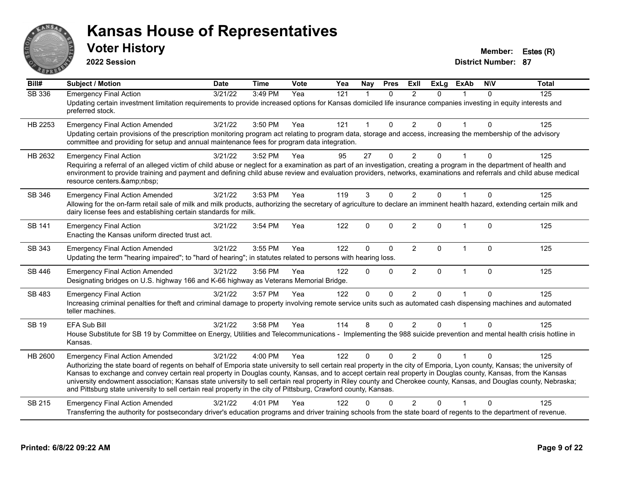

**2022 Session**

**Voter History Member: Estes (R)** 

| $\overline{BiII#}$ | <b>Subject / Motion</b>                                                                                                                                                                                                                                                                                                                                                                                                                                                                                                                                                                                                                                                      | <b>Date</b> | <b>Time</b> | Vote | Yea              | <b>Nay</b>   | <b>Pres</b>  | ExIl           | <b>ExLg</b> | <b>ExAb</b>  | <b>NIV</b>   | <b>Total</b>     |
|--------------------|------------------------------------------------------------------------------------------------------------------------------------------------------------------------------------------------------------------------------------------------------------------------------------------------------------------------------------------------------------------------------------------------------------------------------------------------------------------------------------------------------------------------------------------------------------------------------------------------------------------------------------------------------------------------------|-------------|-------------|------|------------------|--------------|--------------|----------------|-------------|--------------|--------------|------------------|
| <b>SB 336</b>      | <b>Emergency Final Action</b><br>Updating certain investment limitation requirements to provide increased options for Kansas domiciled life insurance companies investing in equity interests and<br>preferred stock.                                                                                                                                                                                                                                                                                                                                                                                                                                                        | 3/21/22     | 3:49 PM     | Yea  | $\overline{121}$ | $\mathbf{1}$ | $\Omega$     | 2              | 0           |              | $\Omega$     | $\overline{125}$ |
| HB 2253            | <b>Emergency Final Action Amended</b><br>Updating certain provisions of the prescription monitoring program act relating to program data, storage and access, increasing the membership of the advisory<br>committee and providing for setup and annual maintenance fees for program data integration.                                                                                                                                                                                                                                                                                                                                                                       | 3/21/22     | 3:50 PM     | Yea  | 121              | 1            | $\mathbf 0$  | $\overline{2}$ | 0           |              | $\Omega$     | 125              |
| HB 2632            | <b>Emergency Final Action</b><br>Requiring a referral of an alleged victim of child abuse or neglect for a examination as part of an investigation, creating a program in the department of health and<br>environment to provide training and payment and defining child abuse review and evaluation providers, networks, examinations and referrals and child abuse medical<br>resource centers.                                                                                                                                                                                                                                                                            | 3/21/22     | 3:52 PM     | Yea  | 95               | 27           | $\mathbf{0}$ | $\overline{2}$ | 0           |              | $\Omega$     | 125              |
| SB 346             | <b>Emergency Final Action Amended</b><br>Allowing for the on-farm retail sale of milk and milk products, authorizing the secretary of agriculture to declare an imminent health hazard, extending certain milk and<br>dairy license fees and establishing certain standards for milk.                                                                                                                                                                                                                                                                                                                                                                                        | 3/21/22     | 3:53 PM     | Yea  | 119              | 3            | $\Omega$     | $\overline{2}$ | $\Omega$    | 1            | $\Omega$     | 125              |
| <b>SB 141</b>      | <b>Emergency Final Action</b><br>Enacting the Kansas uniform directed trust act.                                                                                                                                                                                                                                                                                                                                                                                                                                                                                                                                                                                             | 3/21/22     | 3:54 PM     | Yea  | 122              | 0            | $\Omega$     | $\overline{2}$ | $\Omega$    | $\mathbf 1$  | $\Omega$     | 125              |
| SB 343             | <b>Emergency Final Action Amended</b><br>Updating the term "hearing impaired"; to "hard of hearing"; in statutes related to persons with hearing loss.                                                                                                                                                                                                                                                                                                                                                                                                                                                                                                                       | 3/21/22     | 3:55 PM     | Yea  | 122              | 0            | $\Omega$     | $\overline{2}$ | $\Omega$    | $\mathbf 1$  | $\Omega$     | 125              |
| SB 446             | <b>Emergency Final Action Amended</b><br>Designating bridges on U.S. highway 166 and K-66 highway as Veterans Memorial Bridge.                                                                                                                                                                                                                                                                                                                                                                                                                                                                                                                                               | 3/21/22     | 3:56 PM     | Yea  | 122              | 0            | $\Omega$     | $\overline{2}$ | $\Omega$    | $\mathbf{1}$ | $\mathbf{0}$ | 125              |
| SB 483             | <b>Emergency Final Action</b><br>Increasing criminal penalties for theft and criminal damage to property involving remote service units such as automated cash dispensing machines and automated<br>teller machines.                                                                                                                                                                                                                                                                                                                                                                                                                                                         | 3/21/22     | 3:57 PM     | Yea  | 122              | $\Omega$     | $\mathbf{0}$ | $\overline{2}$ | 0           |              | $\Omega$     | 125              |
| <b>SB 19</b>       | EFA Sub Bill<br>House Substitute for SB 19 by Committee on Energy, Utilities and Telecommunications - Implementing the 988 suicide prevention and mental health crisis hotline in<br>Kansas.                                                                                                                                                                                                                                                                                                                                                                                                                                                                                 | 3/21/22     | 3:58 PM     | Yea  | 114              | 8            | $\Omega$     | $\overline{2}$ | $\Omega$    |              | $\Omega$     | 125              |
| HB 2600            | <b>Emergency Final Action Amended</b><br>Authorizing the state board of regents on behalf of Emporia state university to sell certain real property in the city of Emporia, Lyon county, Kansas; the university of<br>Kansas to exchange and convey certain real property in Douglas county, Kansas, and to accept certain real property in Douglas county, Kansas, from the Kansas<br>university endowment association; Kansas state university to sell certain real property in Riley county and Cherokee county, Kansas, and Douglas county, Nebraska;<br>and Pittsburg state university to sell certain real property in the city of Pittsburg, Crawford county, Kansas. | 3/21/22     | 4:00 PM     | Yea  | 122              | $\Omega$     | $\Omega$     | $\mathfrak{p}$ | 0           |              | $\Omega$     | 125              |
| SB 215             | <b>Emergency Final Action Amended</b><br>Transferring the authority for postsecondary driver's education programs and driver training schools from the state board of regents to the department of revenue.                                                                                                                                                                                                                                                                                                                                                                                                                                                                  | 3/21/22     | 4:01 PM     | Yea  | 122              | 0            | $\Omega$     | $\overline{2}$ | 0           |              | $\Omega$     | 125              |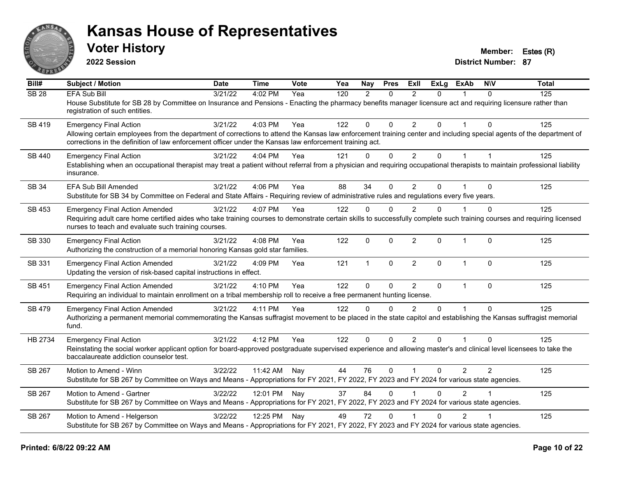

**2022 Session**

**Voter History Member: Estes (R)** 

| Bill#            | <b>Subject / Motion</b>                                                                                                                                                                                                                                                         | <b>Date</b> | <b>Time</b>  | Vote | Yea | Nay           | <b>Pres</b>  | <b>ExII</b>    | <b>ExLg</b> | <b>ExAb</b>    | <b>NIV</b>     | <b>Total</b> |
|------------------|---------------------------------------------------------------------------------------------------------------------------------------------------------------------------------------------------------------------------------------------------------------------------------|-------------|--------------|------|-----|---------------|--------------|----------------|-------------|----------------|----------------|--------------|
| SB <sub>28</sub> | <b>EFA Sub Bill</b>                                                                                                                                                                                                                                                             | 3/21/22     | 4:02 PM      | Yea  | 120 | $\mathcal{P}$ | $\Omega$     | $\mathfrak{p}$ | $\Omega$    |                | $\Omega$       | 125          |
|                  | House Substitute for SB 28 by Committee on Insurance and Pensions - Enacting the pharmacy benefits manager licensure act and requiring licensure rather than<br>registration of such entities.                                                                                  |             |              |      |     |               |              |                |             |                |                |              |
| SB 419           | <b>Emergency Final Action</b>                                                                                                                                                                                                                                                   | 3/21/22     | 4:03 PM      | Yea  | 122 | $\Omega$      | $\Omega$     | 2              | $\Omega$    |                | $\Omega$       | 125          |
|                  | Allowing certain employees from the department of corrections to attend the Kansas law enforcement training center and including special agents of the department of<br>corrections in the definition of law enforcement officer under the Kansas law enforcement training act. |             |              |      |     |               |              |                |             |                |                |              |
| <b>SB 440</b>    | <b>Emergency Final Action</b>                                                                                                                                                                                                                                                   | 3/21/22     | 4:04 PM      | Yea  | 121 | $\mathbf{0}$  | $\mathbf 0$  | 2              | 0           | $\mathbf{1}$   | $\mathbf{1}$   | 125          |
|                  | Establishing when an occupational therapist may treat a patient without referral from a physician and requiring occupational therapists to maintain professional liability<br>insurance.                                                                                        |             |              |      |     |               |              |                |             |                |                |              |
| SB 34            | <b>EFA Sub Bill Amended</b>                                                                                                                                                                                                                                                     | 3/21/22     | $4:06$ PM    | Yea  | 88  | 34            | $\Omega$     | $\overline{2}$ | $\Omega$    |                | $\Omega$       | 125          |
|                  | Substitute for SB 34 by Committee on Federal and State Affairs - Requiring review of administrative rules and regulations every five years.                                                                                                                                     |             |              |      |     |               |              |                |             |                |                |              |
| SB 453           | <b>Emergency Final Action Amended</b>                                                                                                                                                                                                                                           | 3/21/22     | 4:07 PM      | Yea  | 122 | $\Omega$      | $\Omega$     | $\mathfrak{p}$ | $\Omega$    |                | 0              | 125          |
|                  | Requiring adult care home certified aides who take training courses to demonstrate certain skills to successfully complete such training courses and requiring licensed<br>nurses to teach and evaluate such training courses.                                                  |             |              |      |     |               |              |                |             |                |                |              |
| SB 330           | <b>Emergency Final Action</b>                                                                                                                                                                                                                                                   | 3/21/22     | 4:08 PM      | Yea  | 122 | $\Omega$      | $\mathbf{0}$ | $\overline{2}$ | 0           | $\mathbf{1}$   | $\Omega$       | 125          |
|                  | Authorizing the construction of a memorial honoring Kansas gold star families.                                                                                                                                                                                                  |             |              |      |     |               |              |                |             |                |                |              |
| SB 331           | <b>Emergency Final Action Amended</b><br>Updating the version of risk-based capital instructions in effect.                                                                                                                                                                     | 3/21/22     | 4:09 PM      | Yea  | 121 | $\mathbf{1}$  | $\mathbf 0$  | $\overline{2}$ | 0           | 1              | $\Omega$       | 125          |
| SB 451           | <b>Emergency Final Action Amended</b>                                                                                                                                                                                                                                           | 3/21/22     | 4:10 PM      | Yea  | 122 | $\mathbf 0$   | $\mathbf 0$  | $\overline{2}$ | 0           | $\mathbf{1}$   | $\mathbf 0$    | 125          |
|                  | Requiring an individual to maintain enrollment on a tribal membership roll to receive a free permanent hunting license.                                                                                                                                                         |             |              |      |     |               |              |                |             |                |                |              |
| <b>SB 479</b>    | <b>Emergency Final Action Amended</b>                                                                                                                                                                                                                                           | 3/21/22     | 4:11 PM      | Yea  | 122 | $\Omega$      | $\Omega$     | $\mathcal{P}$  | $\Omega$    |                | $\Omega$       | 125          |
|                  | Authorizing a permanent memorial commemorating the Kansas suffragist movement to be placed in the state capitol and establishing the Kansas suffragist memorial<br>fund.                                                                                                        |             |              |      |     |               |              |                |             |                |                |              |
| HB 2734          | <b>Emergency Final Action</b>                                                                                                                                                                                                                                                   | 3/21/22     | 4:12 PM      | Yea  | 122 | $\Omega$      | $\mathbf 0$  | $\overline{2}$ | $\Omega$    |                | $\Omega$       | 125          |
|                  | Reinstating the social worker applicant option for board-approved postgraduate supervised experience and allowing master's and clinical level licensees to take the<br>baccalaureate addiction counselor test.                                                                  |             |              |      |     |               |              |                |             |                |                |              |
| SB 267           | Motion to Amend - Winn                                                                                                                                                                                                                                                          | 3/22/22     | 11:42 AM     | Nay  | 44  | 76            | $\mathbf 0$  | $\overline{1}$ | 0           | $\overline{2}$ | $\overline{2}$ | 125          |
|                  | Substitute for SB 267 by Committee on Ways and Means - Appropriations for FY 2021, FY 2022, FY 2023 and FY 2024 for various state agencies.                                                                                                                                     |             |              |      |     |               |              |                |             |                |                |              |
| SB 267           | Motion to Amend - Gartner                                                                                                                                                                                                                                                       | 3/22/22     | 12:01 PM Nay |      | 37  | 84            | $\Omega$     |                | $\Omega$    | $\mathcal{P}$  |                | 125          |
|                  | Substitute for SB 267 by Committee on Ways and Means - Appropriations for FY 2021, FY 2022, FY 2023 and FY 2024 for various state agencies.                                                                                                                                     |             |              |      |     |               |              |                |             |                |                |              |
| SB 267           | Motion to Amend - Helgerson                                                                                                                                                                                                                                                     | 3/22/22     | 12:25 PM     | Nay  | 49  | 72            | $\mathbf{0}$ |                | $\Omega$    | $\overline{2}$ |                | 125          |
|                  | Substitute for SB 267 by Committee on Ways and Means - Appropriations for FY 2021, FY 2022, FY 2023 and FY 2024 for various state agencies.                                                                                                                                     |             |              |      |     |               |              |                |             |                |                |              |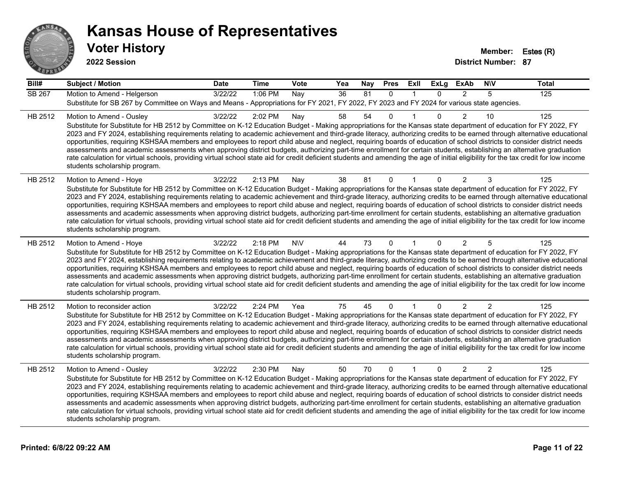

**2022 Session**

**Bill# Subject / Motion Date Time Vote Yea Nay Pres Exll ExLg ExAb N\V Total** SB 267 Motion to Amend - Helgerson 3/22/22 1:06 PM Nay 36 81 0 1 0 2 5 125 Substitute for SB 267 by Committee on Ways and Means - Appropriations for FY 2021, FY 2022, FY 2023 and FY 2024 for various state agencies. HB 2512 Motion to Amend - Ousley 3/22/22 2:02 PM Nay 58 54 0 1 0 2 10 125 Substitute for Substitute for HB 2512 by Committee on K-12 Education Budget - Making appropriations for the Kansas state department of education for FY 2022, FY 2023 and FY 2024, establishing requirements relating to academic achievement and third-grade literacy, authorizing credits to be earned through alternative educational opportunities, requiring KSHSAA members and employees to report child abuse and neglect, requiring boards of education of school districts to consider district needs assessments and academic assessments when approving district budgets, authorizing part-time enrollment for certain students, establishing an alternative graduation rate calculation for virtual schools, providing virtual school state aid for credit deficient students and amending the age of initial eligibility for the tax credit for low income students scholarship program. HB 2512 Motion to Amend - Hoye 3/22/22 2:13 PM Nay 38 81 0 1 0 2 3 125 Substitute for Substitute for HB 2512 by Committee on K-12 Education Budget - Making appropriations for the Kansas state department of education for FY 2022, FY 2023 and FY 2024, establishing requirements relating to academic achievement and third-grade literacy, authorizing credits to be earned through alternative educational opportunities, requiring KSHSAA members and employees to report child abuse and neglect, requiring boards of education of school districts to consider district needs assessments and academic assessments when approving district budgets, authorizing part-time enrollment for certain students, establishing an alternative graduation rate calculation for virtual schools, providing virtual school state aid for credit deficient students and amending the age of initial eligibility for the tax credit for low income students scholarship program. HB 2512 Motion to Amend - Hoye 3/22/22 2:18 PM NNV 44 73 0 1 0 2 5 125 Substitute for Substitute for HB 2512 by Committee on K-12 Education Budget - Making appropriations for the Kansas state department of education for FY 2022, FY 2023 and FY 2024, establishing requirements relating to academic achievement and third-grade literacy, authorizing credits to be earned through alternative educational opportunities, requiring KSHSAA members and employees to report child abuse and neglect, requiring boards of education of school districts to consider district needs assessments and academic assessments when approving district budgets, authorizing part-time enrollment for certain students, establishing an alternative graduation rate calculation for virtual schools, providing virtual school state aid for credit deficient students and amending the age of initial eligibility for the tax credit for low income students scholarship program. HB 2512 Motion to reconsider action 3/22/22 2:24 PM Yea 75 45 0 1 0 2 2 125 Substitute for Substitute for HB 2512 by Committee on K-12 Education Budget - Making appropriations for the Kansas state department of education for FY 2022, FY 2023 and FY 2024, establishing requirements relating to academic achievement and third-grade literacy, authorizing credits to be earned through alternative educational opportunities, requiring KSHSAA members and employees to report child abuse and neglect, requiring boards of education of school districts to consider district needs assessments and academic assessments when approving district budgets, authorizing part-time enrollment for certain students, establishing an alternative graduation rate calculation for virtual schools, providing virtual school state aid for credit deficient students and amending the age of initial eligibility for the tax credit for low income students scholarship program. HB 2512 Motion to Amend - Ousley 3/22/22 2:30 PM Nay 50 70 0 1 0 2 2 125 Substitute for Substitute for HB 2512 by Committee on K-12 Education Budget - Making appropriations for the Kansas state department of education for FY 2022, FY 2023 and FY 2024, establishing requirements relating to academic achievement and third-grade literacy, authorizing credits to be earned through alternative educational opportunities, requiring KSHSAA members and employees to report child abuse and neglect, requiring boards of education of school districts to consider district needs assessments and academic assessments when approving district budgets, authorizing part-time enrollment for certain students, establishing an alternative graduation rate calculation for virtual schools, providing virtual school state aid for credit deficient students and amending the age of initial eligibility for the tax credit for low income students scholarship program.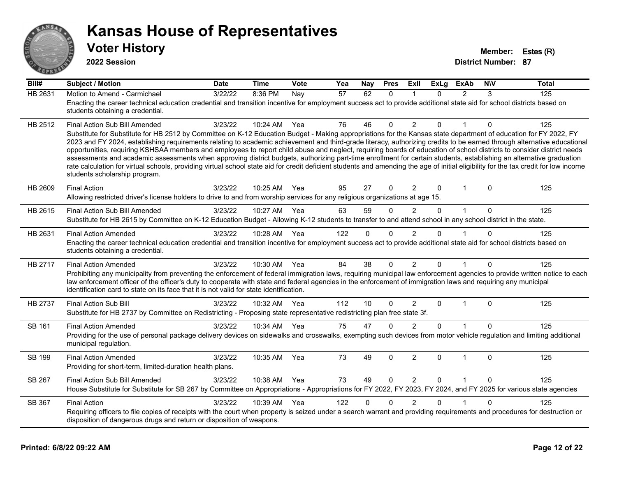

**2022 Session**

**Voter History Member: Estes (R)** 

| Bill#          | <b>Subject / Motion</b>                                                                                                                                                                                                                                                                                                                                                                                                                                                                                                                                                                                                                                                                                                                                                                                                                                                                                                                               | <b>Date</b> | <b>Time</b> | Vote | Yea | Nay          | <b>Pres</b>  | ExII           | <b>ExLg</b>  | <b>ExAb</b>   | <b>NIV</b> | <b>Total</b> |
|----------------|-------------------------------------------------------------------------------------------------------------------------------------------------------------------------------------------------------------------------------------------------------------------------------------------------------------------------------------------------------------------------------------------------------------------------------------------------------------------------------------------------------------------------------------------------------------------------------------------------------------------------------------------------------------------------------------------------------------------------------------------------------------------------------------------------------------------------------------------------------------------------------------------------------------------------------------------------------|-------------|-------------|------|-----|--------------|--------------|----------------|--------------|---------------|------------|--------------|
| <b>HB 2631</b> | Motion to Amend - Carmichael<br>Enacting the career technical education credential and transition incentive for employment success act to provide additional state aid for school districts based on<br>students obtaining a credential.                                                                                                                                                                                                                                                                                                                                                                                                                                                                                                                                                                                                                                                                                                              | 3/22/22     | 8:36 PM     | Nay  | 57  | 62           | $\Omega$     |                | $\Omega$     | $\mathcal{P}$ | 3          | 125          |
| HB 2512        | Final Action Sub Bill Amended<br>Substitute for Substitute for HB 2512 by Committee on K-12 Education Budget - Making appropriations for the Kansas state department of education for FY 2022, FY<br>2023 and FY 2024, establishing requirements relating to academic achievement and third-grade literacy, authorizing credits to be earned through alternative educational<br>opportunities, requiring KSHSAA members and employees to report child abuse and neglect, requiring boards of education of school districts to consider district needs<br>assessments and academic assessments when approving district budgets, authorizing part-time enrollment for certain students, establishing an alternative graduation<br>rate calculation for virtual schools, providing virtual school state aid for credit deficient students and amending the age of initial eligibility for the tax credit for low income<br>students scholarship program. | 3/23/22     | 10:24 AM    | Yea  | 76  | 46           | $\Omega$     | 2              | 0            |               | 0          | 125          |
| HB 2609        | <b>Final Action</b><br>Allowing restricted driver's license holders to drive to and from worship services for any religious organizations at age 15.                                                                                                                                                                                                                                                                                                                                                                                                                                                                                                                                                                                                                                                                                                                                                                                                  | 3/23/22     | 10:25 AM    | Yea  | 95  | 27           | $\Omega$     | $\overline{2}$ | $\Omega$     | $\mathbf 1$   | $\Omega$   | 125          |
| HB 2615        | Final Action Sub Bill Amended<br>Substitute for HB 2615 by Committee on K-12 Education Budget - Allowing K-12 students to transfer to and attend school in any school district in the state.                                                                                                                                                                                                                                                                                                                                                                                                                                                                                                                                                                                                                                                                                                                                                          | 3/23/22     | 10:27 AM    | Yea  | 63  | 59           | $\Omega$     | $\overline{2}$ | $\Omega$     | $\mathbf{1}$  | $\Omega$   | 125          |
| HB 2631        | <b>Final Action Amended</b><br>Enacting the career technical education credential and transition incentive for employment success act to provide additional state aid for school districts based on<br>students obtaining a credential.                                                                                                                                                                                                                                                                                                                                                                                                                                                                                                                                                                                                                                                                                                               | 3/23/22     | 10:28 AM    | Yea  | 122 | $\Omega$     | $\mathbf{0}$ | $\overline{2}$ | $\Omega$     |               | $\Omega$   | 125          |
| HB 2717        | <b>Final Action Amended</b><br>Prohibiting any municipality from preventing the enforcement of federal immigration laws, requiring municipal law enforcement agencies to provide written notice to each<br>law enforcement officer of the officer's duty to cooperate with state and federal agencies in the enforcement of immigration laws and requiring any municipal<br>identification card to state on its face that it is not valid for state identification.                                                                                                                                                                                                                                                                                                                                                                                                                                                                                   | 3/23/22     | 10:30 AM    | Yea  | 84  | 38           | $\mathbf{0}$ | $\overline{2}$ | $\Omega$     | 1             | 0          | 125          |
| <b>HB 2737</b> | <b>Final Action Sub Bill</b><br>Substitute for HB 2737 by Committee on Redistricting - Proposing state representative redistricting plan free state 3f.                                                                                                                                                                                                                                                                                                                                                                                                                                                                                                                                                                                                                                                                                                                                                                                               | 3/23/22     | 10:32 AM    | Yea  | 112 | 10           | $\Omega$     | $\overline{2}$ | $\mathbf{0}$ | $\mathbf{1}$  | $\Omega$   | 125          |
| SB 161         | <b>Final Action Amended</b><br>Providing for the use of personal package delivery devices on sidewalks and crosswalks, exempting such devices from motor vehicle regulation and limiting additional<br>municipal regulation.                                                                                                                                                                                                                                                                                                                                                                                                                                                                                                                                                                                                                                                                                                                          | 3/23/22     | 10:34 AM    | Yea  | 75  | 47           | $\mathbf{0}$ | $\overline{2}$ | $\mathbf{0}$ |               | $\Omega$   | 125          |
| SB 199         | <b>Final Action Amended</b><br>Providing for short-term, limited-duration health plans.                                                                                                                                                                                                                                                                                                                                                                                                                                                                                                                                                                                                                                                                                                                                                                                                                                                               | 3/23/22     | 10:35 AM    | Yea  | 73  | 49           | $\mathbf{0}$ | 2              | $\Omega$     | $\mathbf{1}$  | $\Omega$   | 125          |
| <b>SB 267</b>  | Final Action Sub Bill Amended<br>House Substitute for Substitute for SB 267 by Committee on Appropriations - Appropriations for FY 2022, FY 2023, FY 2024, and FY 2025 for various state agencies                                                                                                                                                                                                                                                                                                                                                                                                                                                                                                                                                                                                                                                                                                                                                     | 3/23/22     | 10:38 AM    | Yea  | 73  | 49           | $\mathbf{0}$ | 2              | $\Omega$     | $\mathbf{1}$  | $\Omega$   | 125          |
| SB 367         | <b>Final Action</b><br>Requiring officers to file copies of receipts with the court when property is seized under a search warrant and providing requirements and procedures for destruction or<br>disposition of dangerous drugs and return or disposition of weapons.                                                                                                                                                                                                                                                                                                                                                                                                                                                                                                                                                                                                                                                                               | 3/23/22     | 10:39 AM    | Yea  | 122 | $\mathbf{0}$ | $\Omega$     | $\overline{2}$ | $\Omega$     |               | $\Omega$   | 125          |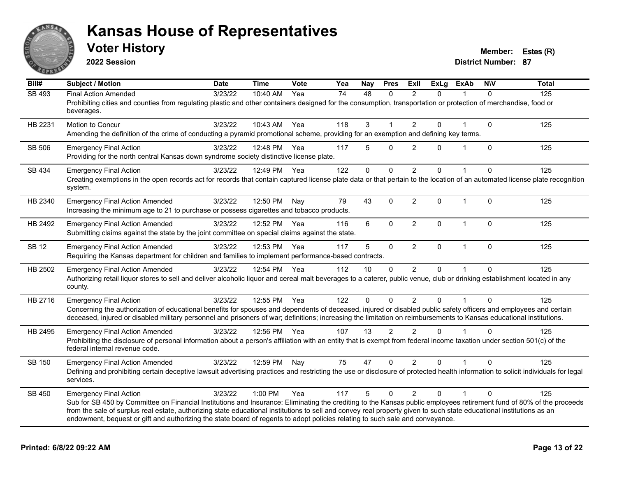

**2022 Session**

**Voter History Member: Estes (R)** 

| Bill#         | <b>Subject / Motion</b>                                                                                                                                                                                                                                                                               | <b>Date</b> | <b>Time</b>  | <b>Vote</b> | Yea | Nay         | <b>Pres</b> | ExIl           | <b>ExLg</b>  | <b>ExAb</b>  | <b>NIV</b>   | <b>Total</b> |
|---------------|-------------------------------------------------------------------------------------------------------------------------------------------------------------------------------------------------------------------------------------------------------------------------------------------------------|-------------|--------------|-------------|-----|-------------|-------------|----------------|--------------|--------------|--------------|--------------|
| <b>SB 493</b> | <b>Final Action Amended</b>                                                                                                                                                                                                                                                                           | 3/23/22     | 10:40 AM     | Yea         | 74  | 48          | $\Omega$    | $\mathcal{P}$  | $\Omega$     |              | $\Omega$     | 125          |
|               | Prohibiting cities and counties from regulating plastic and other containers designed for the consumption, transportation or protection of merchandise, food or<br>beverages.                                                                                                                         |             |              |             |     |             |             |                |              |              |              |              |
| HB 2231       | Motion to Concur                                                                                                                                                                                                                                                                                      | 3/23/22     | 10:43 AM     | Yea         | 118 | 3           |             | 2              | 0            |              | $\mathbf 0$  | 125          |
|               | Amending the definition of the crime of conducting a pyramid promotional scheme, providing for an exemption and defining key terms.                                                                                                                                                                   |             |              |             |     |             |             |                |              |              |              |              |
| SB 506        | <b>Emergency Final Action</b>                                                                                                                                                                                                                                                                         | 3/23/22     | 12:48 PM     | Yea         | 117 | 5           | $\Omega$    | $\overline{2}$ | $\Omega$     | $\mathbf{1}$ | $\mathbf 0$  | 125          |
|               | Providing for the north central Kansas down syndrome society distinctive license plate.                                                                                                                                                                                                               |             |              |             |     |             |             |                |              |              |              |              |
| SB 434        | <b>Emergency Final Action</b>                                                                                                                                                                                                                                                                         | 3/23/22     | 12:49 PM     | Yea         | 122 | 0           | $\mathbf 0$ | $\overline{2}$ | $\mathbf{0}$ |              | $\Omega$     | 125          |
|               | Creating exemptions in the open records act for records that contain captured license plate data or that pertain to the location of an automated license plate recognition<br>system.                                                                                                                 |             |              |             |     |             |             |                |              |              |              |              |
| HB 2340       | <b>Emergency Final Action Amended</b>                                                                                                                                                                                                                                                                 | 3/23/22     | 12:50 PM     | Nay         | 79  | 43          | $\mathbf 0$ | $\overline{2}$ | $\mathbf 0$  | $\mathbf{1}$ | $\Omega$     | 125          |
|               | Increasing the minimum age to 21 to purchase or possess cigarettes and tobacco products.                                                                                                                                                                                                              |             |              |             |     |             |             |                |              |              |              |              |
| HB 2492       | <b>Emergency Final Action Amended</b>                                                                                                                                                                                                                                                                 | 3/23/22     | 12:52 PM Yea |             | 116 | 6           | $\mathbf 0$ | $\overline{2}$ | $\mathbf 0$  | $\mathbf{1}$ | $\mathbf{0}$ | 125          |
|               | Submitting claims against the state by the joint committee on special claims against the state.                                                                                                                                                                                                       |             |              |             |     |             |             |                |              |              |              |              |
| <b>SB 12</b>  | <b>Emergency Final Action Amended</b>                                                                                                                                                                                                                                                                 | 3/23/22     | 12:53 PM     | Yea         | 117 | 5           | $\mathbf 0$ | $\overline{2}$ | 0            | $\mathbf{1}$ | $\mathbf{0}$ | 125          |
|               | Requiring the Kansas department for children and families to implement performance-based contracts.                                                                                                                                                                                                   |             |              |             |     |             |             |                |              |              |              |              |
| HB 2502       | <b>Emergency Final Action Amended</b>                                                                                                                                                                                                                                                                 | 3/23/22     | 12:54 PM Yea |             | 112 | 10          | $\Omega$    | $\overline{2}$ | 0            |              | $\Omega$     | 125          |
|               | Authorizing retail liquor stores to sell and deliver alcoholic liquor and cereal malt beverages to a caterer, public venue, club or drinking establishment located in any<br>county.                                                                                                                  |             |              |             |     |             |             |                |              |              |              |              |
| HB 2716       | <b>Emergency Final Action</b>                                                                                                                                                                                                                                                                         | 3/23/22     | 12:55 PM     | Yea         | 122 | $\mathbf 0$ | $\Omega$    | $\overline{2}$ | $\mathbf{0}$ | $\mathbf{1}$ | $\Omega$     | 125          |
|               | Concerning the authorization of educational benefits for spouses and dependents of deceased, injured or disabled public safety officers and employees and certain                                                                                                                                     |             |              |             |     |             |             |                |              |              |              |              |
|               | deceased, injured or disabled military personnel and prisoners of war; definitions; increasing the limitation on reimbursements to Kansas educational institutions.                                                                                                                                   |             |              |             |     |             |             |                |              |              |              |              |
| HB 2495       | <b>Emergency Final Action Amended</b>                                                                                                                                                                                                                                                                 | 3/23/22     | 12:56 PM Yea |             | 107 | 13          | 2           | $\mathcal{P}$  | $\Omega$     |              | $\Omega$     | 125          |
|               | Prohibiting the disclosure of personal information about a person's affiliation with an entity that is exempt from federal income taxation under section 501(c) of the<br>federal internal revenue code.                                                                                              |             |              |             |     |             |             |                |              |              |              |              |
| SB 150        | <b>Emergency Final Action Amended</b>                                                                                                                                                                                                                                                                 | 3/23/22     | 12:59 PM     | Nay         | 75  | 47          | $\mathbf 0$ | $\overline{2}$ | 0            |              | $\Omega$     | 125          |
|               | Defining and prohibiting certain deceptive lawsuit advertising practices and restricting the use or disclosure of protected health information to solicit individuals for legal<br>services.                                                                                                          |             |              |             |     |             |             |                |              |              |              |              |
| SB 450        | <b>Emergency Final Action</b>                                                                                                                                                                                                                                                                         | 3/23/22     | 1:00 PM      | Yea         | 117 | 5           | $\Omega$    | $\overline{2}$ | $\mathbf{0}$ |              | $\Omega$     | 125          |
|               | Sub for SB 450 by Committee on Financial Institutions and Insurance: Eliminating the crediting to the Kansas public employees retirement fund of 80% of the proceeds                                                                                                                                  |             |              |             |     |             |             |                |              |              |              |              |
|               | from the sale of surplus real estate, authorizing state educational institutions to sell and convey real property given to such state educational institutions as an<br>endowment, bequest or gift and authorizing the state board of regents to adopt policies relating to such sale and conveyance. |             |              |             |     |             |             |                |              |              |              |              |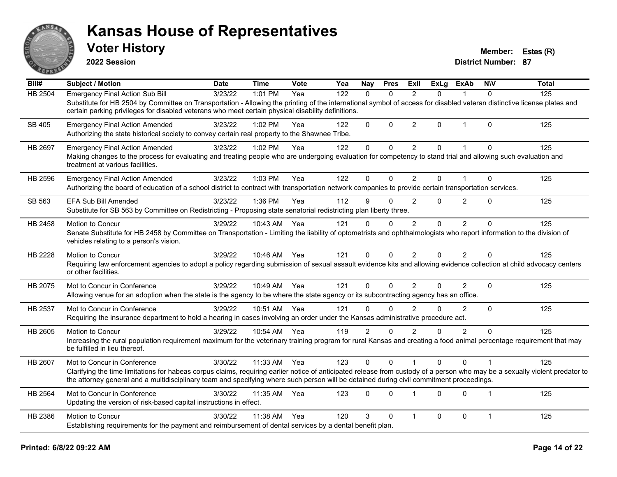

**2022 Session**

**Voter History Member: Estes (R)** 

| Bill#   | Subject / Motion                                                                                                                                                                                                                                                                                                                                        | <b>Date</b> | <b>Time</b>  | Vote | Yea | Nay            | <b>Pres</b>  | ExII           | <b>ExLg</b> | <b>ExAb</b>    | <b>NIV</b>     | <b>Total</b> |
|---------|---------------------------------------------------------------------------------------------------------------------------------------------------------------------------------------------------------------------------------------------------------------------------------------------------------------------------------------------------------|-------------|--------------|------|-----|----------------|--------------|----------------|-------------|----------------|----------------|--------------|
| HB 2504 | <b>Emergency Final Action Sub Bill</b><br>Substitute for HB 2504 by Committee on Transportation - Allowing the printing of the international symbol of access for disabled veteran distinctive license plates and<br>certain parking privileges for disabled veterans who meet certain physical disability definitions.                                 | 3/23/22     | 1:01 PM      | Yea  | 122 | $\mathbf{0}$   | $\Omega$     | $\overline{2}$ | 0           | 1              | $\Omega$       | 125          |
| SB 405  | <b>Emergency Final Action Amended</b><br>Authorizing the state historical society to convey certain real property to the Shawnee Tribe.                                                                                                                                                                                                                 | 3/23/22     | $1:02$ PM    | Yea  | 122 | 0              | $\Omega$     | 2              | 0           | $\mathbf{1}$   | $\Omega$       | 125          |
| HB 2697 | <b>Emergency Final Action Amended</b><br>Making changes to the process for evaluating and treating people who are undergoing evaluation for competency to stand trial and allowing such evaluation and<br>treatment at various facilities.                                                                                                              | 3/23/22     | 1:02 PM      | Yea  | 122 | 0              | $\Omega$     | $\overline{2}$ | $\Omega$    | 1              | $\Omega$       | 125          |
| HB 2596 | <b>Emergency Final Action Amended</b><br>Authorizing the board of education of a school district to contract with transportation network companies to provide certain transportation services.                                                                                                                                                          | 3/23/22     | 1:03 PM      | Yea  | 122 | 0              | $\Omega$     | $\overline{2}$ | 0           | 1              | $\Omega$       | 125          |
| SB 563  | <b>EFA Sub Bill Amended</b><br>Substitute for SB 563 by Committee on Redistricting - Proposing state senatorial redistricting plan liberty three.                                                                                                                                                                                                       | 3/23/22     | 1:36 PM      | Yea  | 112 | 9              | $\Omega$     | $\overline{2}$ | 0           | $\overline{2}$ | $\Omega$       | 125          |
| HB 2458 | Motion to Concur<br>Senate Substitute for HB 2458 by Committee on Transportation - Limiting the liability of optometrists and ophthalmologists who report information to the division of<br>vehicles relating to a person's vision.                                                                                                                     | 3/29/22     | 10:43 AM     | Yea  | 121 | $\Omega$       | $\Omega$     | 2              | $\Omega$    | $\overline{2}$ | $\Omega$       | 125          |
| HB 2228 | Motion to Concur<br>Requiring law enforcement agencies to adopt a policy regarding submission of sexual assault evidence kits and allowing evidence collection at child advocacy centers<br>or other facilities.                                                                                                                                        | 3/29/22     | 10:46 AM Yea |      | 121 | 0              | $\Omega$     | $\overline{2}$ | 0           | $\overline{2}$ | $\mathbf{0}$   | 125          |
| HB 2075 | Mot to Concur in Conference<br>Allowing venue for an adoption when the state is the agency to be where the state agency or its subcontracting agency has an office.                                                                                                                                                                                     | 3/29/22     | 10:49 AM     | Yea  | 121 | 0              | $\mathbf{0}$ | 2              | 0           | $\overline{2}$ | $\Omega$       | 125          |
| HB 2537 | Mot to Concur in Conference<br>Requiring the insurance department to hold a hearing in cases involving an order under the Kansas administrative procedure act.                                                                                                                                                                                          | 3/29/22     | 10:51 AM     | Yea  | 121 | $\Omega$       | $\Omega$     | $\mathfrak{p}$ | 0           | $\overline{2}$ | $\Omega$       | 125          |
| HB 2605 | <b>Motion to Concur</b><br>Increasing the rural population requirement maximum for the veterinary training program for rural Kansas and creating a food animal percentage requirement that may<br>be fulfilled in lieu thereof.                                                                                                                         | 3/29/22     | 10:54 AM     | Yea  | 119 | $\overline{2}$ | $\Omega$     | $\overline{2}$ | 0           | $\overline{2}$ | $\Omega$       | 125          |
| HB 2607 | Mot to Concur in Conference<br>Clarifying the time limitations for habeas corpus claims, requiring earlier notice of anticipated release from custody of a person who may be a sexually violent predator to<br>the attorney general and a multidisciplinary team and specifying where such person will be detained during civil commitment proceedings. | 3/30/22     | 11:33 AM     | Yea  | 123 | 0              | $\Omega$     |                | $\Omega$    | $\Omega$       |                | 125          |
| HB 2564 | Mot to Concur in Conference<br>Updating the version of risk-based capital instructions in effect.                                                                                                                                                                                                                                                       | 3/30/22     | 11:35 AM     | Yea  | 123 | $\Omega$       | $\Omega$     |                | 0           | $\Omega$       | $\overline{1}$ | 125          |
| HB 2386 | Motion to Concur<br>Establishing requirements for the payment and reimbursement of dental services by a dental benefit plan.                                                                                                                                                                                                                            | 3/30/22     | 11:38 AM     | Yea  | 120 | 3              | $\Omega$     | $\overline{1}$ | 0           | $\mathbf 0$    | $\mathbf{1}$   | 125          |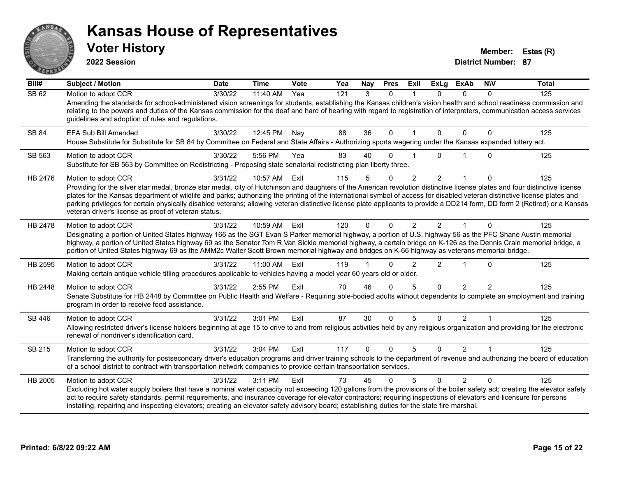

**2022 Session**

**Voter History Member: Estes (R)** 

| Bill#   | <b>Subject / Motion</b>                                                                                                                                                                                                                                                                                                                                                                                                                                                                                                                                                                                                 | <b>Date</b> | <b>Time</b> | <b>Vote</b> | Yea | Nay      | <b>Pres</b> | ExII           | <b>ExLg</b>    | <b>ExAb</b>    | <b>NIV</b>    | <b>Total</b> |
|---------|-------------------------------------------------------------------------------------------------------------------------------------------------------------------------------------------------------------------------------------------------------------------------------------------------------------------------------------------------------------------------------------------------------------------------------------------------------------------------------------------------------------------------------------------------------------------------------------------------------------------------|-------------|-------------|-------------|-----|----------|-------------|----------------|----------------|----------------|---------------|--------------|
| SB 62   | Motion to adopt CCR<br>Amending the standards for school-administered vision screenings for students, establishing the Kansas children's vision health and school readiness commission and<br>relating to the powers and duties of the Kansas commission for the deaf and hard of hearing with regard to registration of interpreters, communication access services<br>guidelines and adoption of rules and regulations.                                                                                                                                                                                               | 3/30/22     | 11:40 AM    | Yea         | 121 | 3        | $\Omega$    |                | $\Omega$       | $\Omega$       | $\Omega$      | 125          |
| SB 84   | EFA Sub Bill Amended<br>House Substitute for Substitute for SB 84 by Committee on Federal and State Affairs - Authorizing sports wagering under the Kansas expanded lottery act.                                                                                                                                                                                                                                                                                                                                                                                                                                        | 3/30/22     | 12:45 PM    | Nay         | 88  | 36       | $\Omega$    |                | $\Omega$       | $\Omega$       | 0             | 125          |
| SB 563  | Motion to adopt CCR<br>Substitute for SB 563 by Committee on Redistricting - Proposing state senatorial redistricting plan liberty three.                                                                                                                                                                                                                                                                                                                                                                                                                                                                               | 3/30/22     | 5:56 PM     | Yea         | 83  | 40       | $\Omega$    |                | U              |                | $\Omega$      | 125          |
| HB 2476 | Motion to adopt CCR<br>Providing for the silver star medal, bronze star medal, city of Hutchinson and daughters of the American revolution distinctive license plates and four distinctive license<br>plates for the Kansas department of wildlife and parks; authorizing the printing of the international symbol of access for disabled veteran distinctive license plates and<br>parking privileges for certain physically disabled veterans; allowing veteran distinctive license plate applicants to provide a DD214 form, DD form 2 (Retired) or a Kansas<br>veteran driver's license as proof of veteran status. | 3/31/22     | 10:57 AM    | Exll        | 115 | 5        | 0           | $\overline{2}$ | $\overline{2}$ |                | 0             | 125          |
| HB 2478 | Motion to adopt CCR<br>Designating a portion of United States highway 166 as the SGT Evan S Parker memorial highway, a portion of U.S. highway 56 as the PFC Shane Austin memorial<br>highway, a portion of United States highway 69 as the Senator Tom R Van Sickle memorial highway, a certain bridge on K-126 as the Dennis Crain memorial bridge, a<br>portion of United States highway 69 as the AMM2c Walter Scott Brown memorial highway and bridges on K-66 highway as veterans memorial bridge.                                                                                                                | 3/31/22     | 10:59 AM    | Exll        | 120 | $\Omega$ | $\Omega$    | $\overline{2}$ | $\overline{2}$ |                | $\Omega$      | 125          |
| HB 2595 | Motion to adopt CCR<br>Making certain antique vehicle titling procedures applicable to vehicles having a model year 60 years old or older.                                                                                                                                                                                                                                                                                                                                                                                                                                                                              | 3/31/22     | 11:00 AM    | Exll        | 119 |          | $\Omega$    | $\mathfrak{p}$ | $\overline{2}$ |                | $\Omega$      | 125          |
| HB 2448 | Motion to adopt CCR<br>Senate Substitute for HB 2448 by Committee on Public Health and Welfare - Requiring able-bodied adults without dependents to complete an employment and training<br>program in order to receive food assistance.                                                                                                                                                                                                                                                                                                                                                                                 | 3/31/22     | 2:55 PM     | Exll        | 70  | 46       | $\Omega$    | 5              | $\Omega$       | $\mathfrak{p}$ | $\mathcal{P}$ | 125          |
| SB 446  | Motion to adopt CCR<br>Allowing restricted driver's license holders beginning at age 15 to drive to and from religious activities held by any religious organization and providing for the electronic<br>renewal of nondriver's identification card.                                                                                                                                                                                                                                                                                                                                                                    | 3/31/22     | 3:01 PM     | Exll        | 87  | 30       | $\mathbf 0$ | 5              | $\Omega$       | $\overline{2}$ | 1             | 125          |
| SB 215  | Motion to adopt CCR<br>Transferring the authority for postsecondary driver's education programs and driver training schools to the department of revenue and authorizing the board of education<br>of a school district to contract with transportation network companies to provide certain transportation services.                                                                                                                                                                                                                                                                                                   | 3/31/22     | 3:04 PM     | ExII        | 117 | $\Omega$ | $\Omega$    | 5              | $\Omega$       | $\mathcal{P}$  | $\mathbf 1$   | 125          |
| HB 2005 | Motion to adopt CCR<br>Excluding hot water supply boilers that have a nominal water capacity not exceeding 120 gallons from the provisions of the boiler safety act; creating the elevator safety<br>act to require safety standards, permit requirements, and insurance coverage for elevator contractors; requiring inspections of elevators and licensure for persons<br>installing, repairing and inspecting elevators; creating an elevator safety advisory board; establishing duties for the state fire marshal.                                                                                                 | 3/31/22     | 3:11 PM     | ExIl        | 73  | 45       | $\Omega$    | 5              | $\Omega$       | $\mathcal{P}$  | $\Omega$      | 125          |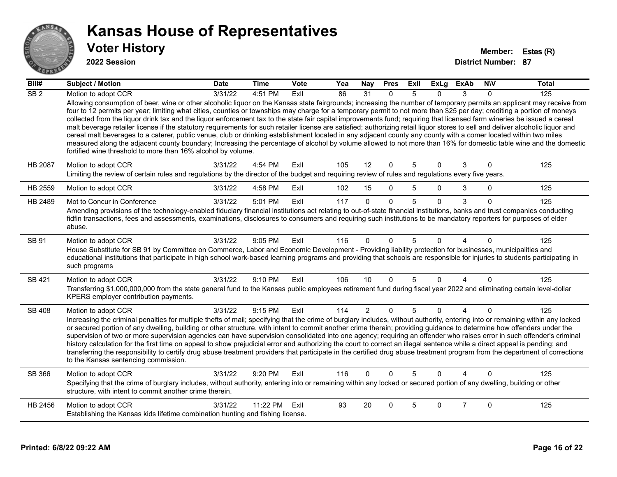

#### **2022 Session**

| Bill#           | <b>Subject / Motion</b>                                                                                                                                                                                                                                                                                                                                                                                                                                                                                                                                                                                                                                                                                                                                                                                                                                                                                                                                                                                                                                                                                                   | <b>Date</b> | <b>Time</b> | Vote | Yea | <b>Nay</b>     | <b>Pres</b>  | ExII | <b>ExLg</b> | <b>ExAb</b>    | <b>NIV</b>   | <b>Total</b> |
|-----------------|---------------------------------------------------------------------------------------------------------------------------------------------------------------------------------------------------------------------------------------------------------------------------------------------------------------------------------------------------------------------------------------------------------------------------------------------------------------------------------------------------------------------------------------------------------------------------------------------------------------------------------------------------------------------------------------------------------------------------------------------------------------------------------------------------------------------------------------------------------------------------------------------------------------------------------------------------------------------------------------------------------------------------------------------------------------------------------------------------------------------------|-------------|-------------|------|-----|----------------|--------------|------|-------------|----------------|--------------|--------------|
| SB <sub>2</sub> | Motion to adopt CCR                                                                                                                                                                                                                                                                                                                                                                                                                                                                                                                                                                                                                                                                                                                                                                                                                                                                                                                                                                                                                                                                                                       | 3/31/22     | 4:51 PM     | ExII | 86  | 31             | $\Omega$     | 5    | 0           | 3              | $\Omega$     | 125          |
|                 | Allowing consumption of beer, wine or other alcoholic liquor on the Kansas state fairgrounds; increasing the number of temporary permits an applicant may receive from<br>four to 12 permits per year; limiting what cities, counties or townships may charge for a temporary permit to not more than \$25 per day; crediting a portion of moneys<br>collected from the liquor drink tax and the liquor enforcement tax to the state fair capital improvements fund; requiring that licensed farm wineries be issued a cereal<br>malt beverage retailer license if the statutory requirements for such retailer license are satisfied; authorizing retail liquor stores to sell and deliver alcoholic liquor and<br>cereal malt beverages to a caterer, public venue, club or drinking establishment located in any adjacent county any county with a comer located within two miles<br>measured along the adjacent county boundary; Increasing the percentage of alcohol by volume allowed to not more than 16% for domestic table wine and the domestic<br>fortified wine threshold to more than 16% alcohol by volume. |             |             |      |     |                |              |      |             |                |              |              |
| HB 2087         | Motion to adopt CCR<br>Limiting the review of certain rules and regulations by the director of the budget and requiring review of rules and regulations every five years.                                                                                                                                                                                                                                                                                                                                                                                                                                                                                                                                                                                                                                                                                                                                                                                                                                                                                                                                                 | 3/31/22     | 4:54 PM     | ExIl | 105 | 12             | $\Omega$     | 5    | $\Omega$    | 3              | $\mathbf{0}$ | 125          |
| HB 2559         | Motion to adopt CCR                                                                                                                                                                                                                                                                                                                                                                                                                                                                                                                                                                                                                                                                                                                                                                                                                                                                                                                                                                                                                                                                                                       | 3/31/22     | 4:58 PM     | ExIl | 102 | 15             | $\Omega$     | 5    | 0           | 3              | $\Omega$     | 125          |
| HB 2489         | Mot to Concur in Conference                                                                                                                                                                                                                                                                                                                                                                                                                                                                                                                                                                                                                                                                                                                                                                                                                                                                                                                                                                                                                                                                                               | 3/31/22     | 5:01 PM     | ExIl | 117 | $\Omega$       | $\Omega$     | 5    | $\Omega$    | 3              | $\Omega$     | 125          |
|                 | Amending provisions of the technology-enabled fiduciary financial institutions act relating to out-of-state financial institutions, banks and trust companies conducting<br>fidfin transactions, fees and assessments, examinations, disclosures to consumers and requiring such institutions to be mandatory reporters for purposes of elder<br>abuse.                                                                                                                                                                                                                                                                                                                                                                                                                                                                                                                                                                                                                                                                                                                                                                   |             |             |      |     |                |              |      |             |                |              |              |
| SB 91           | Motion to adopt CCR<br>House Substitute for SB 91 by Committee on Commerce, Labor and Economic Development - Providing liability protection for businesses, municipalities and<br>educational institutions that participate in high school work-based learning programs and providing that schools are responsible for injuries to students participating in<br>such programs                                                                                                                                                                                                                                                                                                                                                                                                                                                                                                                                                                                                                                                                                                                                             | 3/31/22     | 9:05 PM     | ExII | 116 | $\Omega$       | $\Omega$     | 5    | 0           |                | $\Omega$     | 125          |
| SB 421          | Motion to adopt CCR<br>Transferring \$1,000,000,000 from the state general fund to the Kansas public employees retirement fund during fiscal year 2022 and eliminating certain level-dollar<br>KPERS employer contribution payments.                                                                                                                                                                                                                                                                                                                                                                                                                                                                                                                                                                                                                                                                                                                                                                                                                                                                                      | 3/31/22     | 9:10 PM     | ExIl | 106 | 10             | $\Omega$     | 5    | 0           | 4              | $\Omega$     | 125          |
| <b>SB 408</b>   | Motion to adopt CCR<br>Increasing the criminal penalties for multiple thefts of mail; specifying that the crime of burglary includes, without authority, entering into or remaining within any locked<br>or secured portion of any dwelling, building or other structure, with intent to commit another crime therein; providing guidance to determine how offenders under the<br>supervision of two or more supervision agencies can have supervision consolidated into one agency; requiring an offender who raises error in such offender's criminal<br>history calculation for the first time on appeal to show prejudicial error and authorizing the court to correct an illegal sentence while a direct appeal is pending; and<br>transferring the responsibility to certify drug abuse treatment providers that participate in the certified drug abuse treatment program from the department of corrections<br>to the Kansas sentencing commission.                                                                                                                                                               | 3/31/22     | 9:15 PM     | ExIl | 114 | $\overline{2}$ | $\mathbf{0}$ | 5    | 0           | $\overline{4}$ | $\Omega$     | 125          |
| SB 366          | Motion to adopt CCR<br>Specifying that the crime of burglary includes, without authority, entering into or remaining within any locked or secured portion of any dwelling, building or other<br>structure, with intent to commit another crime therein.                                                                                                                                                                                                                                                                                                                                                                                                                                                                                                                                                                                                                                                                                                                                                                                                                                                                   | 3/31/22     | 9:20 PM     | ExIl | 116 | 0              | $\Omega$     | 5    | 0           |                | $\Omega$     | 125          |
| HB 2456         | Motion to adopt CCR<br>Establishing the Kansas kids lifetime combination hunting and fishing license.                                                                                                                                                                                                                                                                                                                                                                                                                                                                                                                                                                                                                                                                                                                                                                                                                                                                                                                                                                                                                     | 3/31/22     | 11:22 PM    | ExII | 93  | 20             | $\Omega$     | 5    | 0           | $\overline{7}$ | $\Omega$     | 125          |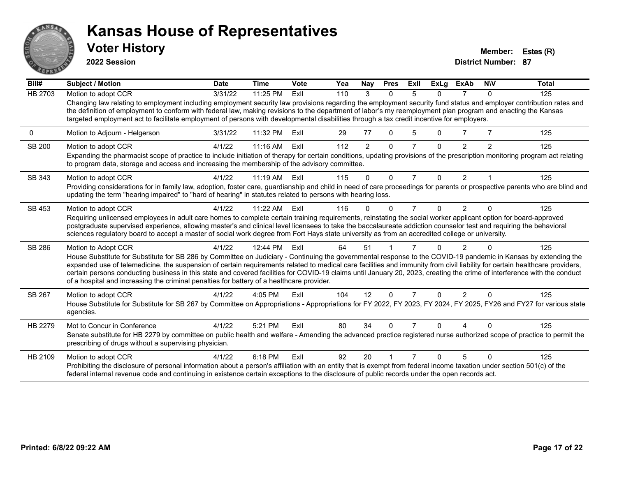

**2022 Session**

**Voter History Member: Estes (R)** 

| Bill#          | Subject / Motion                                                                                                                                                                                                                                                                                                                                                                                                                                                                                                                                                                                                        | <b>Date</b> | <b>Time</b> | Vote | Yea | <b>Nay</b>     | <b>Pres</b> | ExII | <b>ExLg</b> | <b>ExAb</b>    | <b>NIV</b>     | <b>Total</b> |
|----------------|-------------------------------------------------------------------------------------------------------------------------------------------------------------------------------------------------------------------------------------------------------------------------------------------------------------------------------------------------------------------------------------------------------------------------------------------------------------------------------------------------------------------------------------------------------------------------------------------------------------------------|-------------|-------------|------|-----|----------------|-------------|------|-------------|----------------|----------------|--------------|
| <b>HB 2703</b> | Motion to adopt CCR                                                                                                                                                                                                                                                                                                                                                                                                                                                                                                                                                                                                     | 3/31/22     | 11:25 PM    | Exll | 110 | 3              | $\Omega$    | 5    | $\Omega$    |                | $\Omega$       | 125          |
|                | Changing law relating to employment including employment security law provisions regarding the employment security fund status and employer contribution rates and<br>the definition of employment to conform with federal law, making revisions to the department of labor's my reemployment plan program and enacting the Kansas<br>targeted employment act to facilitate employment of persons with developmental disabilities through a tax credit incentive for employers.                                                                                                                                         |             |             |      |     |                |             |      |             |                |                |              |
| 0              | Motion to Adjourn - Helgerson                                                                                                                                                                                                                                                                                                                                                                                                                                                                                                                                                                                           | 3/31/22     | 11:32 PM    | ExII | 29  | 77             | 0           | 5    | 0           |                |                | 125          |
| SB 200         | Motion to adopt CCR                                                                                                                                                                                                                                                                                                                                                                                                                                                                                                                                                                                                     | 4/1/22      | $11:16$ AM  | ExII | 112 | $\overline{2}$ | $\Omega$    | 7    | 0           | $\mathfrak{p}$ | $\overline{2}$ | 125          |
|                | Expanding the pharmacist scope of practice to include initiation of therapy for certain conditions, updating provisions of the prescription monitoring program act relating<br>to program data, storage and access and increasing the membership of the advisory committee.                                                                                                                                                                                                                                                                                                                                             |             |             |      |     |                |             |      |             |                |                |              |
| SB 343         | Motion to adopt CCR                                                                                                                                                                                                                                                                                                                                                                                                                                                                                                                                                                                                     | 4/1/22      | $11:19$ AM  | ExII | 115 | 0              | $\Omega$    | 7    | 0           | 2              |                | 125          |
|                | Providing considerations for in family law, adoption, foster care, guardianship and child in need of care proceedings for parents or prospective parents who are blind and<br>updating the term "hearing impaired" to "hard of hearing" in statutes related to persons with hearing loss.                                                                                                                                                                                                                                                                                                                               |             |             |      |     |                |             |      |             |                |                |              |
| SB 453         | Motion to adopt CCR                                                                                                                                                                                                                                                                                                                                                                                                                                                                                                                                                                                                     | 4/1/22      | 11:22 AM    | ExII | 116 | $\Omega$       | O           | 7    | 0           | $\overline{2}$ | $\Omega$       | 125          |
|                | Requiring unlicensed employees in adult care homes to complete certain training requirements, reinstating the social worker applicant option for board-approved                                                                                                                                                                                                                                                                                                                                                                                                                                                         |             |             |      |     |                |             |      |             |                |                |              |
|                | postgraduate supervised experience, allowing master's and clinical level licensees to take the baccalaureate addiction counselor test and requiring the behavioral<br>sciences regulatory board to accept a master of social work degree from Fort Hays state university as from an accredited college or university.                                                                                                                                                                                                                                                                                                   |             |             |      |     |                |             |      |             |                |                |              |
| SB 286         | Motion to Adopt CCR                                                                                                                                                                                                                                                                                                                                                                                                                                                                                                                                                                                                     | 4/1/22      | 12:44 PM    | ExII | 64  | 51             |             |      |             |                |                | 125          |
|                | House Substitute for Substitute for SB 286 by Committee on Judiciary - Continuing the governmental response to the COVID-19 pandemic in Kansas by extending the<br>expanded use of telemedicine, the suspension of certain requirements related to medical care facilities and immunity from civil liability for certain healthcare providers,<br>certain persons conducting business in this state and covered facilities for COVID-19 claims until January 20, 2023, creating the crime of interference with the conduct<br>of a hospital and increasing the criminal penalties for battery of a healthcare provider. |             |             |      |     |                |             |      |             |                |                |              |
| SB 267         | Motion to adopt CCR                                                                                                                                                                                                                                                                                                                                                                                                                                                                                                                                                                                                     | 4/1/22      | 4:05 PM     | ExIl | 104 | 12             | $\Omega$    | 7    | $\Omega$    | $\mathcal{P}$  | $\Omega$       | 125          |
|                | House Substitute for Substitute for SB 267 by Committee on Appropriations - Appropriations for FY 2022, FY 2023, FY 2024, FY 2025, FY26 and FY27 for various state<br>agencies.                                                                                                                                                                                                                                                                                                                                                                                                                                         |             |             |      |     |                |             |      |             |                |                |              |
| HB 2279        | Mot to Concur in Conference                                                                                                                                                                                                                                                                                                                                                                                                                                                                                                                                                                                             | 4/1/22      | 5:21 PM     | ExII | 80  | 34             | U           |      |             |                |                | 125          |
|                | Senate substitute for HB 2279 by committee on public health and welfare - Amending the advanced practice registered nurse authorized scope of practice to permit the<br>prescribing of drugs without a supervising physician.                                                                                                                                                                                                                                                                                                                                                                                           |             |             |      |     |                |             |      |             |                |                |              |
| HB 2109        | Motion to adopt CCR                                                                                                                                                                                                                                                                                                                                                                                                                                                                                                                                                                                                     | 4/1/22      | 6:18 PM     | ExII | 92  | 20             |             |      |             | 5              | $\Omega$       | 125          |
|                | Prohibiting the disclosure of personal information about a person's affiliation with an entity that is exempt from federal income taxation under section 501(c) of the<br>federal internal revenue code and continuing in existence certain exceptions to the disclosure of public records under the open records act.                                                                                                                                                                                                                                                                                                  |             |             |      |     |                |             |      |             |                |                |              |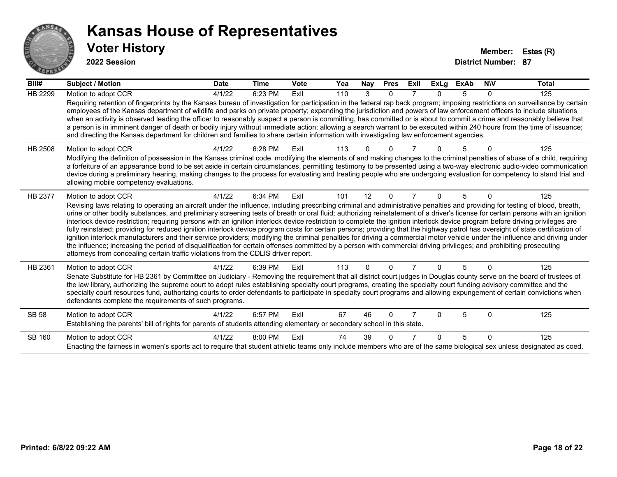

**2022 Session**

| Bill#   | <b>Subject / Motion</b>                                                                                                                                                                                                                                                                                                                                                                                                                                                                                                                                                                                                                                                                                                                                                                                                                                                                                                                                                                                                                                                                                                                                                                               | <b>Date</b> | <b>Time</b> | <b>Vote</b> | Yea | Nay      | <b>Pres</b>  | Exll | ExLg     | <b>ExAb</b> | <b>NIV</b> | <b>Total</b> |
|---------|-------------------------------------------------------------------------------------------------------------------------------------------------------------------------------------------------------------------------------------------------------------------------------------------------------------------------------------------------------------------------------------------------------------------------------------------------------------------------------------------------------------------------------------------------------------------------------------------------------------------------------------------------------------------------------------------------------------------------------------------------------------------------------------------------------------------------------------------------------------------------------------------------------------------------------------------------------------------------------------------------------------------------------------------------------------------------------------------------------------------------------------------------------------------------------------------------------|-------------|-------------|-------------|-----|----------|--------------|------|----------|-------------|------------|--------------|
| HB 2299 | Motion to adopt CCR<br>Requiring retention of fingerprints by the Kansas bureau of investigation for participation in the federal rap back program; imposing restrictions on surveillance by certain<br>employees of the Kansas department of wildlife and parks on private property; expanding the jurisdiction and powers of law enforcement officers to include situations<br>when an activity is observed leading the officer to reasonably suspect a person is committing, has committed or is about to commit a crime and reasonably believe that<br>a person is in imminent danger of death or bodily injury without immediate action; allowing a search warrant to be executed within 240 hours from the time of issuance;<br>and directing the Kansas department for children and families to share certain information with investigating law enforcement agencies.                                                                                                                                                                                                                                                                                                                         | 4/1/22      | 6:23 PM     | ExII        | 110 | 3        | $\mathbf{0}$ |      | $\Omega$ | 5           | 0          | 125          |
| HB 2508 | Motion to adopt CCR<br>Modifying the definition of possession in the Kansas criminal code, modifying the elements of and making changes to the criminal penalties of abuse of a child, requiring<br>a forfeiture of an appearance bond to be set aside in certain circumstances, permitting testimony to be presented using a two-way electronic audio-video communication<br>device during a preliminary hearing, making changes to the process for evaluating and treating people who are undergoing evaluation for competency to stand trial and<br>allowing mobile competency evaluations.                                                                                                                                                                                                                                                                                                                                                                                                                                                                                                                                                                                                        | 4/1/22      | 6:28 PM     | ExII        | 113 |          |              |      |          | 5           |            | 125          |
| HB 2377 | Motion to adopt CCR<br>Revising laws relating to operating an aircraft under the influence, including prescribing criminal and administrative penalties and providing for testing of blood, breath,<br>urine or other bodily substances, and preliminary screening tests of breath or oral fluid; authorizing reinstatement of a driver's license for certain persons with an ignition<br>interlock device restriction; requiring persons with an ignition interlock device restriction to complete the ignition interlock device program before driving privileges are<br>fully reinstated; providing for reduced ignition interlock device program costs for certain persons; providing that the highway patrol has oversight of state certification of<br>ignition interlock manufacturers and their service providers; modifying the criminal penalties for driving a commercial motor vehicle under the influence and driving under<br>the influence; increasing the period of disqualification for certain offenses committed by a person with commercial driving privileges; and prohibiting prosecuting<br>attorneys from concealing certain traffic violations from the CDLIS driver report. | 4/1/22      | 6:34 PM     | ExII        | 101 | 12       | $\Omega$     |      | $\Omega$ | 5           | 0          | 125          |
| HB 2361 | Motion to adopt CCR<br>Senate Substitute for HB 2361 by Committee on Judiciary - Removing the requirement that all district court judges in Douglas county serve on the board of trustees of<br>the law library, authorizing the supreme court to adopt rules establishing specialty court programs, creating the specialty court funding advisory committee and the<br>specialty court resources fund, authorizing courts to order defendants to participate in specialty court programs and allowing expungement of certain convictions when<br>defendants complete the requirements of such programs.                                                                                                                                                                                                                                                                                                                                                                                                                                                                                                                                                                                              | 4/1/22      | 6:39 PM     | ExII        | 113 | $\Omega$ | $\Omega$     |      | $\Omega$ | 5           | 0          | 125          |
| SB 58   | Motion to adopt CCR<br>Establishing the parents' bill of rights for parents of students attending elementary or secondary school in this state.                                                                                                                                                                                                                                                                                                                                                                                                                                                                                                                                                                                                                                                                                                                                                                                                                                                                                                                                                                                                                                                       | 4/1/22      | 6:57 PM     | ExII        | 67  | 46       | 0            |      | $\Omega$ | 5           | $\Omega$   | 125          |
| SB 160  | Motion to adopt CCR<br>Enacting the fairness in women's sports act to require that student athletic teams only include members who are of the same biological sex unless designated as coed.                                                                                                                                                                                                                                                                                                                                                                                                                                                                                                                                                                                                                                                                                                                                                                                                                                                                                                                                                                                                          | 4/1/22      | 8:00 PM     | ExII        | 74  | 39       |              |      | $\Omega$ | 5           | $\Omega$   | 125          |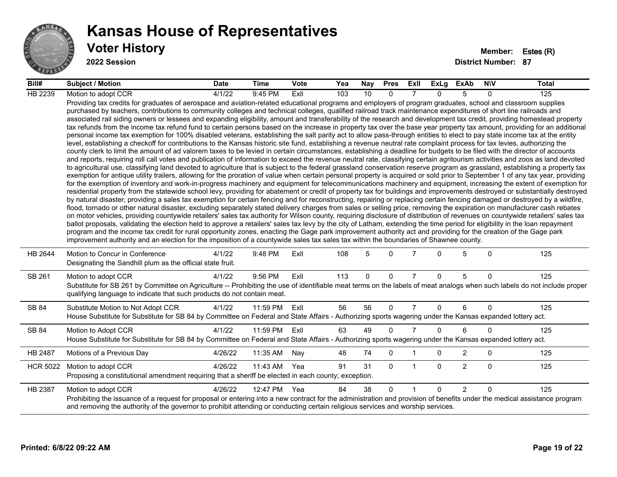

#### **Voter History Member: Estes (R) Kansas House of Representatives**

**2022 Session**

| Bill#           | <b>Subject / Motion</b>                                                                                                                                                                                                                                                                                                                                                                                                                                                                                                                                                                                                                                                                                                                                                                                                                                                                                                                                                                                                                                                                                                                                                                                                                                                                                                                                                                                                                                                                                                                                                                                                                                                                                                                                                                                                                                                                                                                                                                                                                                                                                                                                                                                                                                                                                                                                                                                                                                                                                                                                                                                                                                                                                                                                                                                                                                                                                                                                                                                                                                                                                                                                                     | <b>Date</b> | Time     | Vote | Yea | Nay         | <b>Pres</b> | Exll           |              | ExLg ExAb      | <b>NIV</b> | Total |
|-----------------|-----------------------------------------------------------------------------------------------------------------------------------------------------------------------------------------------------------------------------------------------------------------------------------------------------------------------------------------------------------------------------------------------------------------------------------------------------------------------------------------------------------------------------------------------------------------------------------------------------------------------------------------------------------------------------------------------------------------------------------------------------------------------------------------------------------------------------------------------------------------------------------------------------------------------------------------------------------------------------------------------------------------------------------------------------------------------------------------------------------------------------------------------------------------------------------------------------------------------------------------------------------------------------------------------------------------------------------------------------------------------------------------------------------------------------------------------------------------------------------------------------------------------------------------------------------------------------------------------------------------------------------------------------------------------------------------------------------------------------------------------------------------------------------------------------------------------------------------------------------------------------------------------------------------------------------------------------------------------------------------------------------------------------------------------------------------------------------------------------------------------------------------------------------------------------------------------------------------------------------------------------------------------------------------------------------------------------------------------------------------------------------------------------------------------------------------------------------------------------------------------------------------------------------------------------------------------------------------------------------------------------------------------------------------------------------------------------------------------------------------------------------------------------------------------------------------------------------------------------------------------------------------------------------------------------------------------------------------------------------------------------------------------------------------------------------------------------------------------------------------------------------------------------------------------------|-------------|----------|------|-----|-------------|-------------|----------------|--------------|----------------|------------|-------|
| HB 2239         | Motion to adopt CCR                                                                                                                                                                                                                                                                                                                                                                                                                                                                                                                                                                                                                                                                                                                                                                                                                                                                                                                                                                                                                                                                                                                                                                                                                                                                                                                                                                                                                                                                                                                                                                                                                                                                                                                                                                                                                                                                                                                                                                                                                                                                                                                                                                                                                                                                                                                                                                                                                                                                                                                                                                                                                                                                                                                                                                                                                                                                                                                                                                                                                                                                                                                                                         | 4/1/22      | 9:45 PM  | Exll | 103 | 10          | $\Omega$    |                | $\Omega$     | 5              | $\Omega$   | 125   |
|                 | Providing tax credits for graduates of aerospace and aviation-related educational programs and employers of program graduates, school and classroom supplies<br>purchased by teachers, contributions to community colleges and technical colleges, qualified railroad track maintenance expenditures of short line railroads and<br>associated rail siding owners or lessees and expanding eligibility, amount and transferability of the research and development tax credit, providing homestead property<br>tax refunds from the income tax refund fund to certain persons based on the increase in property tax over the base year property tax amount, providing for an additional<br>personal income tax exemption for 100% disabled veterans, establishing the salt parity act to allow pass-through entities to elect to pay state income tax at the entity<br>level, establishing a checkoff for contributions to the Kansas historic site fund, establishing a revenue neutral rate complaint process for tax levies, authorizing the<br>county clerk to limit the amount of ad valorem taxes to be levied in certain circumstances, establishing a deadline for budgets to be filed with the director of accounts<br>and reports, requiring roll call votes and publication of information to exceed the revenue neutral rate, classifying certain agritourism activities and zoos as land devoted<br>to agricultural use, classifying land devoted to agriculture that is subject to the federal grassland conservation reserve program as grassland, establishing a property tax<br>exemption for antique utility trailers, allowing for the proration of value when certain personal property is acquired or sold prior to September 1 of any tax year, providing<br>for the exemption of inventory and work-in-progress machinery and equipment for telecommunications machinery and equipment, increasing the extent of exemption for<br>residential property from the statewide school levy, providing for abatement or credit of property tax for buildings and improvements destroyed or substantially destroyed<br>by natural disaster, providing a sales tax exemption for certain fencing and for reconstructing, repairing or replacing certain fencing damaged or destroyed by a wildfire,<br>flood, tornado or other natural disaster, excluding separately stated delivery charges from sales or selling price, removing the expiration on manufacturer cash rebates<br>on motor vehicles, providing countywide retailers' sales tax authority for Wilson county, requiring disclosure of distribution of revenues on countywide retailers' sales tax<br>ballot proposals, validating the election held to approve a retailers' sales tax levy by the city of Latham, extending the time period for eligibility in the loan repayment<br>program and the income tax credit for rural opportunity zones, enacting the Gage park improvement authority act and providing for the creation of the Gage park<br>improvement authority and an election for the imposition of a countywide sales tax sales tax within the boundaries of Shawnee county. |             |          |      |     |             |             |                |              |                |            |       |
| HB 2644         | Motion to Concur in Conference<br>Designating the Sandhill plum as the official state fruit.                                                                                                                                                                                                                                                                                                                                                                                                                                                                                                                                                                                                                                                                                                                                                                                                                                                                                                                                                                                                                                                                                                                                                                                                                                                                                                                                                                                                                                                                                                                                                                                                                                                                                                                                                                                                                                                                                                                                                                                                                                                                                                                                                                                                                                                                                                                                                                                                                                                                                                                                                                                                                                                                                                                                                                                                                                                                                                                                                                                                                                                                                | 4/1/22      | 9:48 PM  | ExII | 108 | 5           | $\Omega$    |                | $\Omega$     | 5              | $\Omega$   | 125   |
| SB 261          | Motion to adopt CCR<br>Substitute for SB 261 by Committee on Agriculture -- Prohibiting the use of identifiable meat terms on the labels of meat analogs when such labels do not include proper<br>qualifying language to indicate that such products do not contain meat.                                                                                                                                                                                                                                                                                                                                                                                                                                                                                                                                                                                                                                                                                                                                                                                                                                                                                                                                                                                                                                                                                                                                                                                                                                                                                                                                                                                                                                                                                                                                                                                                                                                                                                                                                                                                                                                                                                                                                                                                                                                                                                                                                                                                                                                                                                                                                                                                                                                                                                                                                                                                                                                                                                                                                                                                                                                                                                  | 4/1/22      | 9:56 PM  | ExIl | 113 | $\mathbf 0$ | $\mathbf 0$ | $\overline{7}$ | $\Omega$     | 5              | $\Omega$   | 125   |
| SB 84           | Substitute Motion to Not Adopt CCR<br>House Substitute for Substitute for SB 84 by Committee on Federal and State Affairs - Authorizing sports wagering under the Kansas expanded lottery act.                                                                                                                                                                                                                                                                                                                                                                                                                                                                                                                                                                                                                                                                                                                                                                                                                                                                                                                                                                                                                                                                                                                                                                                                                                                                                                                                                                                                                                                                                                                                                                                                                                                                                                                                                                                                                                                                                                                                                                                                                                                                                                                                                                                                                                                                                                                                                                                                                                                                                                                                                                                                                                                                                                                                                                                                                                                                                                                                                                              | 4/1/22      | 11:59 PM | ExII | 56  | 56          | $\Omega$    | $\overline{7}$ | $\mathbf{0}$ | 6              | $\Omega$   | 125   |
| SB 84           | Motion to Adopt CCR<br>House Substitute for Substitute for SB 84 by Committee on Federal and State Affairs - Authorizing sports wagering under the Kansas expanded lottery act.                                                                                                                                                                                                                                                                                                                                                                                                                                                                                                                                                                                                                                                                                                                                                                                                                                                                                                                                                                                                                                                                                                                                                                                                                                                                                                                                                                                                                                                                                                                                                                                                                                                                                                                                                                                                                                                                                                                                                                                                                                                                                                                                                                                                                                                                                                                                                                                                                                                                                                                                                                                                                                                                                                                                                                                                                                                                                                                                                                                             | 4/1/22      | 11:59 PM | ExII | 63  | 49          | $\Omega$    | $\overline{7}$ | $\Omega$     | 6              | $\Omega$   | 125   |
| HB 2487         | Motions of a Previous Day                                                                                                                                                                                                                                                                                                                                                                                                                                                                                                                                                                                                                                                                                                                                                                                                                                                                                                                                                                                                                                                                                                                                                                                                                                                                                                                                                                                                                                                                                                                                                                                                                                                                                                                                                                                                                                                                                                                                                                                                                                                                                                                                                                                                                                                                                                                                                                                                                                                                                                                                                                                                                                                                                                                                                                                                                                                                                                                                                                                                                                                                                                                                                   | 4/26/22     | 11:35 AM | Nay  | 48  | 74          | 0           |                | 0            | $\overline{c}$ | 0          | 125   |
| <b>HCR 5022</b> | Motion to adopt CCR<br>Proposing a constitutional amendment requiring that a sheriff be elected in each county; exception.                                                                                                                                                                                                                                                                                                                                                                                                                                                                                                                                                                                                                                                                                                                                                                                                                                                                                                                                                                                                                                                                                                                                                                                                                                                                                                                                                                                                                                                                                                                                                                                                                                                                                                                                                                                                                                                                                                                                                                                                                                                                                                                                                                                                                                                                                                                                                                                                                                                                                                                                                                                                                                                                                                                                                                                                                                                                                                                                                                                                                                                  | 4/26/22     | 11:43 AM | Yea  | 91  | 31          | $\Omega$    | $\overline{1}$ | $\Omega$     | 2              | $\Omega$   | 125   |
| HB 2387         | Motion to adopt CCR<br>Prohibiting the issuance of a request for proposal or entering into a new contract for the administration and provision of benefits under the medical assistance program<br>and removing the authority of the governor to prohibit attending or conducting certain religious services and worship services.                                                                                                                                                                                                                                                                                                                                                                                                                                                                                                                                                                                                                                                                                                                                                                                                                                                                                                                                                                                                                                                                                                                                                                                                                                                                                                                                                                                                                                                                                                                                                                                                                                                                                                                                                                                                                                                                                                                                                                                                                                                                                                                                                                                                                                                                                                                                                                                                                                                                                                                                                                                                                                                                                                                                                                                                                                          | 4/26/22     | 12:47 PM | Yea  | 84  | 38          | $\Omega$    | $\overline{1}$ | $\Omega$     | 2              | $\Omega$   | 125   |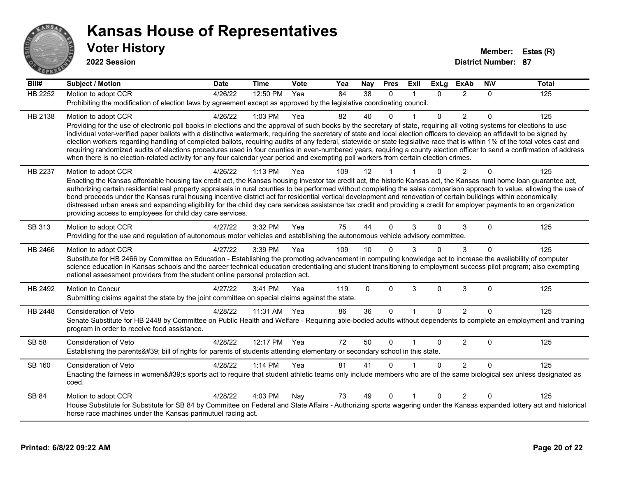

**2022 Session**

| Bill#          | <b>Subject / Motion</b>                                                                                                                                                                                                                                                                                                                               | <b>Date</b> | <b>Time</b>  | <b>Vote</b> | Yea | Nay             | <b>Pres</b>  | ExII         | <b>ExLg</b> | <b>ExAb</b>    | <b>NIV</b> | <b>Total</b> |
|----------------|-------------------------------------------------------------------------------------------------------------------------------------------------------------------------------------------------------------------------------------------------------------------------------------------------------------------------------------------------------|-------------|--------------|-------------|-----|-----------------|--------------|--------------|-------------|----------------|------------|--------------|
| <b>HB 2252</b> | Motion to adopt CCR                                                                                                                                                                                                                                                                                                                                   | 4/26/22     | 12:50 PM     | Yea         | 84  | 38              | $\Omega$     |              | 0           | $\overline{2}$ | $\Omega$   | 125          |
|                | Prohibiting the modification of election laws by agreement except as approved by the legislative coordinating council.                                                                                                                                                                                                                                |             |              |             |     |                 |              |              |             |                |            |              |
| HB 2138        | Motion to adopt CCR                                                                                                                                                                                                                                                                                                                                   | 4/26/22     | 1:03 PM      | Yea         | 82  | 40              | $\Omega$     |              | 0           | $\overline{c}$ | $\Omega$   | 125          |
|                | Providing for the use of electronic poll books in elections and the approval of such books by the secretary of state, requiring all voting systems for elections to use<br>individual voter-verified paper ballots with a distinctive watermark, requiring the secretary of state and local election officers to develop an affidavit to be signed by |             |              |             |     |                 |              |              |             |                |            |              |
|                | election workers regarding handling of completed ballots, requiring audits of any federal, statewide or state legislative race that is within 1% of the total votes cast and                                                                                                                                                                          |             |              |             |     |                 |              |              |             |                |            |              |
|                | requiring randomized audits of elections procedures used in four counties in even-numbered years, requiring a county election officer to send a confirmation of address                                                                                                                                                                               |             |              |             |     |                 |              |              |             |                |            |              |
|                | when there is no election-related activity for any four calendar year period and exempting poll workers from certain election crimes.                                                                                                                                                                                                                 |             |              |             |     |                 |              |              |             |                |            |              |
| HB 2237        | Motion to adopt CCR                                                                                                                                                                                                                                                                                                                                   | 4/26/22     | 1:13 PM      | Yea         | 109 | 12              |              |              |             | 2              | $\Omega$   | 125          |
|                | Enacting the Kansas affordable housing tax credit act, the Kansas housing investor tax credit act, the historic Kansas act, the Kansas rural home loan guarantee act,                                                                                                                                                                                 |             |              |             |     |                 |              |              |             |                |            |              |
|                | authorizing certain residential real property appraisals in rural counties to be performed without completing the sales comparison approach to value, allowing the use of<br>bond proceeds under the Kansas rural housing incentive district act for residential vertical development and renovation of certain buildings within economically         |             |              |             |     |                 |              |              |             |                |            |              |
|                | distressed urban areas and expanding eligibility for the child day care services assistance tax credit and providing a credit for employer payments to an organization                                                                                                                                                                                |             |              |             |     |                 |              |              |             |                |            |              |
|                | providing access to employees for child day care services.                                                                                                                                                                                                                                                                                            |             |              |             |     |                 |              |              |             |                |            |              |
| SB 313         | Motion to adopt CCR                                                                                                                                                                                                                                                                                                                                   | 4/27/22     | 3:32 PM      | Yea         | 75  | 44              | $\Omega$     | 3            | $\Omega$    | 3              | $\Omega$   | 125          |
|                | Providing for the use and regulation of autonomous motor vehicles and establishing the autonomous vehicle advisory committee.                                                                                                                                                                                                                         |             |              |             |     |                 |              |              |             |                |            |              |
| HB 2466        | Motion to adopt CCR                                                                                                                                                                                                                                                                                                                                   | 4/27/22     | 3:39 PM      | Yea         | 109 | 10 <sup>1</sup> |              |              | 0           | 3              | $\Omega$   | 125          |
|                | Substitute for HB 2466 by Committee on Education - Establishing the promoting advancement in computing knowledge act to increase the availability of computer                                                                                                                                                                                         |             |              |             |     |                 |              |              |             |                |            |              |
|                | science education in Kansas schools and the career technical education credentialing and student transitioning to employment success pilot program; also exempting<br>national assessment providers from the student online personal protection act.                                                                                                  |             |              |             |     |                 |              |              |             |                |            |              |
|                |                                                                                                                                                                                                                                                                                                                                                       | 4/27/22     |              |             | 119 |                 |              | 3            |             |                |            |              |
| HB 2492        | Motion to Concur<br>Submitting claims against the state by the joint committee on special claims against the state.                                                                                                                                                                                                                                   |             | 3:41 PM      | Yea         |     | $\mathbf 0$     | $\mathbf 0$  |              | $\mathbf 0$ | $\sqrt{3}$     | $\Omega$   | 125          |
|                |                                                                                                                                                                                                                                                                                                                                                       |             |              |             |     |                 |              |              |             |                |            |              |
| HB 2448        | <b>Consideration of Veto</b>                                                                                                                                                                                                                                                                                                                          | 4/28/22     | 11:31 AM Yea |             | 86  | 36              | $\Omega$     | $\mathbf{1}$ | $\Omega$    | $\overline{2}$ | $\Omega$   | 125          |
|                | Senate Substitute for HB 2448 by Committee on Public Health and Welfare - Requiring able-bodied adults without dependents to complete an employment and training<br>program in order to receive food assistance.                                                                                                                                      |             |              |             |     |                 |              |              |             |                |            |              |
| <b>SB 58</b>   | Consideration of Veto                                                                                                                                                                                                                                                                                                                                 | 4/28/22     | 12:17 PM Yea |             | 72  | 50              | $\mathbf{0}$ | $\mathbf{1}$ | 0           | $\overline{2}$ | 0          | 125          |
|                | Establishing the parents' bill of rights for parents of students attending elementary or secondary school in this state.                                                                                                                                                                                                                              |             |              |             |     |                 |              |              |             |                |            |              |
| <b>SB 160</b>  | Consideration of Veto                                                                                                                                                                                                                                                                                                                                 | 4/28/22     | 1:14 PM      | Yea         | 81  | 41              | $\Omega$     |              | $\Omega$    | 2              | $\Omega$   | 125          |
|                | Enacting the fairness in women's sports act to require that student athletic teams only include members who are of the same biological sex unless designated as                                                                                                                                                                                       |             |              |             |     |                 |              |              |             |                |            |              |
|                | coed.                                                                                                                                                                                                                                                                                                                                                 |             |              |             |     |                 |              |              |             |                |            |              |
| SB 84          | Motion to adopt CCR                                                                                                                                                                                                                                                                                                                                   | 4/28/22     | 4:03 PM      | Nay         | 73  | 49              | $\mathbf{0}$ |              | $\Omega$    | $\overline{2}$ | $\Omega$   | 125          |
|                | House Substitute for Substitute for SB 84 by Committee on Federal and State Affairs - Authorizing sports wagering under the Kansas expanded lottery act and historical                                                                                                                                                                                |             |              |             |     |                 |              |              |             |                |            |              |
|                | horse race machines under the Kansas parimutuel racing act.                                                                                                                                                                                                                                                                                           |             |              |             |     |                 |              |              |             |                |            |              |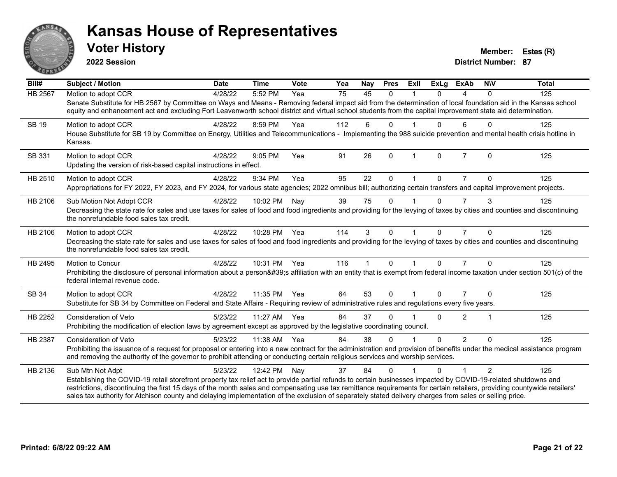

**2022 Session**

**District Number: 87 Voter History Member: Estes (R)** 

| Bill#          | <b>Subject / Motion</b>                                                                                                                                                                                                                                                                                                                                                                                                                                                                                | <b>Date</b> | <b>Time</b>  | Vote | Yea | Nay | <b>Pres</b>  | Exll         | <b>ExLg</b> | <b>ExAb</b>    | <b>NIV</b>     | <b>Total</b> |
|----------------|--------------------------------------------------------------------------------------------------------------------------------------------------------------------------------------------------------------------------------------------------------------------------------------------------------------------------------------------------------------------------------------------------------------------------------------------------------------------------------------------------------|-------------|--------------|------|-----|-----|--------------|--------------|-------------|----------------|----------------|--------------|
| <b>HB 2567</b> | Motion to adopt CCR                                                                                                                                                                                                                                                                                                                                                                                                                                                                                    | 4/28/22     | 5:52 PM      | Yea  | 75  | 45  | $\Omega$     |              | $\Omega$    | 4              | $\Omega$       | 125          |
|                | Senate Substitute for HB 2567 by Committee on Ways and Means - Removing federal impact aid from the determination of local foundation aid in the Kansas school<br>equity and enhancement act and excluding Fort Leavenworth school district and virtual school students from the capital improvement state aid determination.                                                                                                                                                                          |             |              |      |     |     |              |              |             |                |                |              |
| SB 19          | Motion to adopt CCR                                                                                                                                                                                                                                                                                                                                                                                                                                                                                    | 4/28/22     | 8:59 PM      | Yea  | 112 | 6   | $\Omega$     |              | 0           | 6              | $\Omega$       | 125          |
|                | House Substitute for SB 19 by Committee on Energy, Utilities and Telecommunications - Implementing the 988 suicide prevention and mental health crisis hotline in<br>Kansas.                                                                                                                                                                                                                                                                                                                           |             |              |      |     |     |              |              |             |                |                |              |
| SB 331         | Motion to adopt CCR                                                                                                                                                                                                                                                                                                                                                                                                                                                                                    | 4/28/22     | 9:05 PM      | Yea  | 91  | 26  | $\Omega$     | $\mathbf{1}$ | $\Omega$    | $\overline{7}$ | $\Omega$       | 125          |
|                | Updating the version of risk-based capital instructions in effect.                                                                                                                                                                                                                                                                                                                                                                                                                                     |             |              |      |     |     |              |              |             |                |                |              |
| HB 2510        | Motion to adopt CCR                                                                                                                                                                                                                                                                                                                                                                                                                                                                                    | 4/28/22     | 9:34 PM      | Yea  | 95  | 22  | 0            |              | U.          | 7              | $\Omega$       | 125          |
|                | Appropriations for FY 2022, FY 2023, and FY 2024, for various state agencies; 2022 omnibus bill; authorizing certain transfers and capital improvement projects.                                                                                                                                                                                                                                                                                                                                       |             |              |      |     |     |              |              |             |                |                |              |
| HB 2106        | Sub Motion Not Adopt CCR                                                                                                                                                                                                                                                                                                                                                                                                                                                                               | 4/28/22     | 10:02 PM     | Nay  | 39  | 75  | $\Omega$     |              | 0           | $\overline{7}$ | 3              | 125          |
|                | Decreasing the state rate for sales and use taxes for sales of food and food ingredients and providing for the levying of taxes by cities and counties and discontinuing<br>the nonrefundable food sales tax credit.                                                                                                                                                                                                                                                                                   |             |              |      |     |     |              |              |             |                |                |              |
| HB 2106        | Motion to adopt CCR                                                                                                                                                                                                                                                                                                                                                                                                                                                                                    | 4/28/22     | 10:28 PM Yea |      | 114 | 3   | $\Omega$     |              | $\Omega$    | 7              | $\Omega$       | 125          |
|                | Decreasing the state rate for sales and use taxes for sales of food and food ingredients and providing for the levying of taxes by cities and counties and discontinuing<br>the nonrefundable food sales tax credit.                                                                                                                                                                                                                                                                                   |             |              |      |     |     |              |              |             |                |                |              |
| HB 2495        | <b>Motion to Concur</b>                                                                                                                                                                                                                                                                                                                                                                                                                                                                                | 4/28/22     | 10:31 PM Yea |      | 116 |     | $\Omega$     | $\mathbf{1}$ | $\Omega$    | $\overline{7}$ | $\Omega$       | 125          |
|                | Prohibiting the disclosure of personal information about a person's affiliation with an entity that is exempt from federal income taxation under section 501(c) of the<br>federal internal revenue code.                                                                                                                                                                                                                                                                                               |             |              |      |     |     |              |              |             |                |                |              |
| SB 34          | Motion to adopt CCR                                                                                                                                                                                                                                                                                                                                                                                                                                                                                    | 4/28/22     | 11:35 PM     | Yea  | 64  | 53  | $\mathbf{0}$ |              | $\Omega$    |                | $\Omega$       | 125          |
|                | Substitute for SB 34 by Committee on Federal and State Affairs - Requiring review of administrative rules and regulations every five years.                                                                                                                                                                                                                                                                                                                                                            |             |              |      |     |     |              |              |             |                |                |              |
| HB 2252        | <b>Consideration of Veto</b>                                                                                                                                                                                                                                                                                                                                                                                                                                                                           | 5/23/22     | 11:27 AM Yea |      | 84  | 37  | $\Omega$     |              | $\Omega$    | $\overline{2}$ | $\mathbf{1}$   | 125          |
|                | Prohibiting the modification of election laws by agreement except as approved by the legislative coordinating council.                                                                                                                                                                                                                                                                                                                                                                                 |             |              |      |     |     |              |              |             |                |                |              |
| HB 2387        | Consideration of Veto                                                                                                                                                                                                                                                                                                                                                                                                                                                                                  | 5/23/22     | 11:38 AM Yea |      | 84  | 38  | $\Omega$     |              | $\Omega$    | $\mathcal{P}$  | $\Omega$       | 125          |
|                | Prohibiting the issuance of a request for proposal or entering into a new contract for the administration and provision of benefits under the medical assistance program<br>and removing the authority of the governor to prohibit attending or conducting certain religious services and worship services.                                                                                                                                                                                            |             |              |      |     |     |              |              |             |                |                |              |
| HB 2136        | Sub Mtn Not Adpt                                                                                                                                                                                                                                                                                                                                                                                                                                                                                       | 5/23/22     | 12:42 PM     | Nay  | 37  | 84  | $\Omega$     |              | 0           |                | $\mathfrak{p}$ | 125          |
|                | Establishing the COVID-19 retail storefront property tax relief act to provide partial refunds to certain businesses impacted by COVID-19-related shutdowns and<br>restrictions, discontinuing the first 15 days of the month sales and compensating use tax remittance requirements for certain retailers, providing countywide retailers'<br>sales tax authority for Atchison county and delaying implementation of the exclusion of separately stated delivery charges from sales or selling price. |             |              |      |     |     |              |              |             |                |                |              |